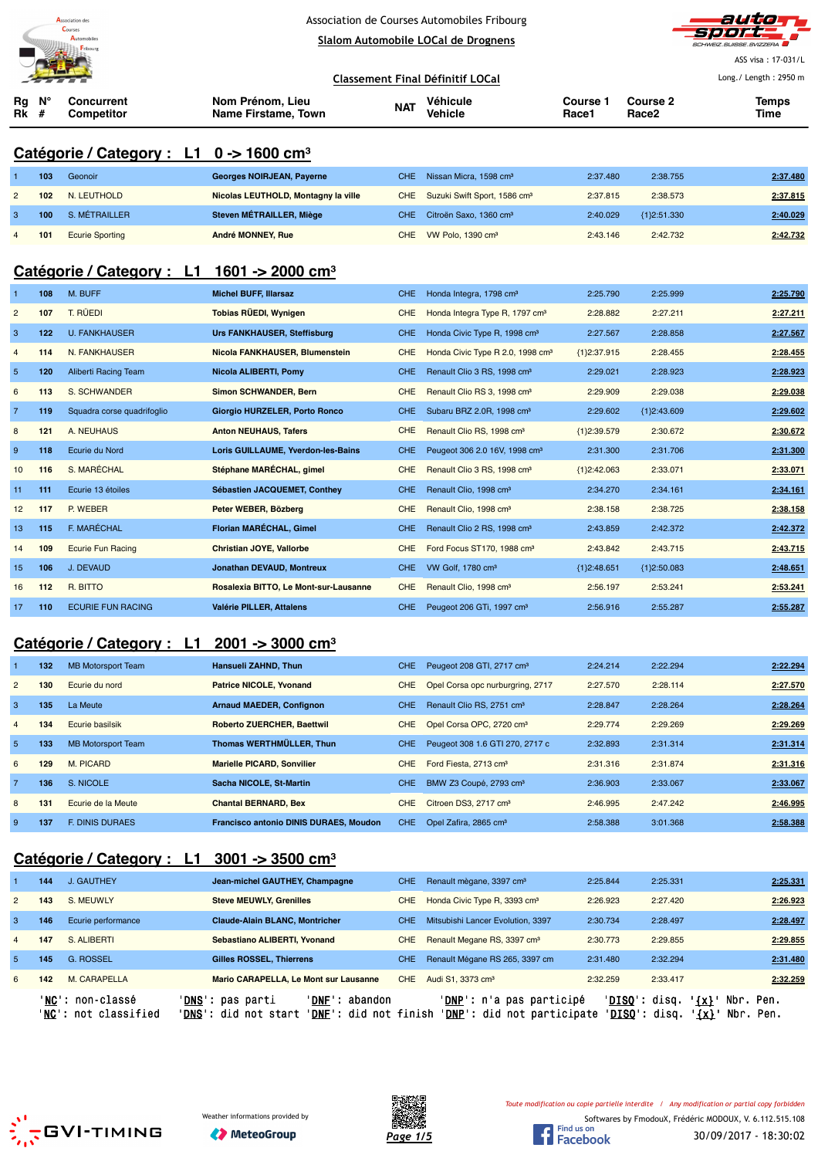



ASS visa : 17-031/L

|                                                        |     |                                                          |                                         |            | <b>Classement Final Définitif LOCal</b>      |                   |                                      | Long./ Length: 2950 m |
|--------------------------------------------------------|-----|----------------------------------------------------------|-----------------------------------------|------------|----------------------------------------------|-------------------|--------------------------------------|-----------------------|
| Rg<br>Rk                                               | #   | <b>Concurrent</b><br><b>Competitor</b>                   | Nom Prénom, Lieu<br>Name Firstame, Town | <b>NAT</b> | Véhicule<br>Vehicle                          | Course 1<br>Race1 | <b>Course 2</b><br>Race <sub>2</sub> | <b>Temps</b><br>Time  |
|                                                        |     | Catégorie / Category : L1 0 -> 1600 cm <sup>3</sup>      |                                         |            |                                              |                   |                                      |                       |
|                                                        | 103 | Geonoir                                                  | <b>Georges NOIRJEAN, Payerne</b>        | <b>CHE</b> | Nissan Micra, 1598 cm <sup>3</sup>           | 2:37.480          | 2:38.755                             | 2:37.480              |
| $\overline{2}$                                         | 102 | N. LEUTHOLD                                              | Nicolas LEUTHOLD, Montagny la ville     | <b>CHE</b> | Suzuki Swift Sport, 1586 cm <sup>3</sup>     | 2:37.815          | 2:38.573                             | 2:37.815              |
| 3                                                      | 100 | S. MÉTRAILLER                                            | Steven MÉTRAILLER, Miège                | <b>CHE</b> | Citroën Saxo, 1360 cm <sup>3</sup>           | 2:40.029          | ${1}2:51.330$                        | 2:40.029              |
| $\overline{4}$                                         | 101 | <b>Ecurie Sporting</b>                                   | <b>André MONNEY, Rue</b>                | <b>CHE</b> | VW Polo, 1390 cm <sup>3</sup>                | 2:43.146          | 2:42.732                             | 2:42.732              |
| Catégorie / Category : L1 1601 -> 2000 cm <sup>3</sup> |     |                                                          |                                         |            |                                              |                   |                                      |                       |
| -1                                                     | 108 | M. BUFF                                                  | <b>Michel BUFF, Illarsaz</b>            | CHE.       | Honda Integra, 1798 cm <sup>3</sup>          | 2:25.790          | 2:25.999                             | 2:25.790              |
| $\overline{2}$                                         | 107 | T. RÜEDI                                                 | Tobias RÜEDI, Wynigen                   | <b>CHE</b> | Honda Integra Type R, 1797 cm <sup>3</sup>   | 2:28.882          | 2:27.211                             | 2:27.211              |
| 3                                                      | 122 | <b>U. FANKHAUSER</b>                                     | <b>Urs FANKHAUSER, Steffisburg</b>      | <b>CHE</b> | Honda Civic Type R, 1998 cm <sup>3</sup>     | 2:27.567          | 2:28.858                             | 2:27.567              |
| $\overline{4}$                                         | 114 | N. FANKHAUSER                                            | Nicola FANKHAUSER, Blumenstein          | <b>CHE</b> | Honda Civic Type R 2.0, 1998 cm <sup>3</sup> | ${1}2:37.915$     | 2:28.455                             | 2:28.455              |
| $\overline{5}$                                         | 120 | Aliberti Racing Team                                     | Nicola ALIBERTI, Pomy                   | <b>CHE</b> | Renault Clio 3 RS, 1998 cm <sup>3</sup>      | 2:29.021          | 2:28.923                             | 2:28.923              |
| 6                                                      | 113 | S. SCHWANDER                                             | <b>Simon SCHWANDER, Bern</b>            | <b>CHE</b> | Renault Clio RS 3, 1998 cm <sup>3</sup>      | 2:29.909          | 2:29.038                             | 2:29.038              |
| $\overline{7}$                                         | 119 | Squadra corse quadrifoglio                               | Giorgio HURZELER, Porto Ronco           | <b>CHE</b> | Subaru BRZ 2.0R, 1998 cm <sup>3</sup>        | 2:29.602          | ${1}2:43.609$                        | 2:29.602              |
| 8                                                      | 121 | A. NEUHAUS                                               | <b>Anton NEUHAUS, Tafers</b>            | <b>CHE</b> | Renault Clio RS, 1998 cm <sup>3</sup>        | ${1}2:39.579$     | 2:30.672                             | 2:30.672              |
| 9                                                      | 118 | Ecurie du Nord                                           | Loris GUILLAUME, Yverdon-les-Bains      | <b>CHE</b> | Peugeot 306 2.0 16V, 1998 cm <sup>3</sup>    | 2:31.300          | 2:31.706                             | 2:31.300              |
| 10                                                     | 116 | S. MARÉCHAL                                              | Stéphane MARÉCHAL, gimel                | <b>CHE</b> | Renault Clio 3 RS, 1998 cm <sup>3</sup>      | ${1}2:42.063$     | 2:33.071                             | 2:33.071              |
| 11                                                     | 111 | Ecurie 13 étoiles                                        | Sébastien JACQUEMET, Conthey            | <b>CHE</b> | Renault Clio, 1998 cm <sup>3</sup>           | 2:34.270          | 2:34.161                             | 2:34.161              |
| 12                                                     | 117 | P. WEBER                                                 | Peter WEBER, Bözberg                    | <b>CHE</b> | Renault Clio, 1998 cm <sup>3</sup>           | 2:38.158          | 2:38.725                             | 2:38.158              |
| 13                                                     | 115 | F. MARÉCHAL                                              | Florian MARÉCHAL, Gimel                 | <b>CHE</b> | Renault Clio 2 RS, 1998 cm <sup>3</sup>      | 2:43.859          | 2:42.372                             | 2:42.372              |
| 14                                                     | 109 | <b>Ecurie Fun Racing</b>                                 | Christian JOYE, Vallorbe                | <b>CHE</b> | Ford Focus ST170, 1988 cm <sup>3</sup>       | 2:43.842          | 2:43.715                             | 2:43.715              |
| 15                                                     | 106 | J. DEVAUD                                                | Jonathan DEVAUD, Montreux               | <b>CHE</b> | VW Golf, 1780 cm <sup>3</sup>                | ${1}2:48.651$     | ${1}2:50.083$                        | 2:48.651              |
| 16                                                     | 112 | R. BITTO                                                 | Rosalexia BITTO, Le Mont-sur-Lausanne   | <b>CHE</b> | Renault Clio, 1998 cm <sup>3</sup>           | 2:56.197          | 2:53.241                             | 2:53.241              |
| 17                                                     | 110 | <b>ECURIE FUN RACING</b>                                 | Valérie PILLER, Attalens                | <b>CHE</b> | Peugeot 206 GTi, 1997 cm <sup>3</sup>        | 2:56.916          | 2:55.287                             | 2:55.287              |
|                                                        |     | Catégorie / Category : $L1$ 2001 -> 3000 cm <sup>3</sup> |                                         |            |                                              |                   |                                      |                       |
|                                                        | 132 | <b>MB Motorsport Team</b>                                | <b>Hansueli ZAHND, Thun</b>             | CHE.       | Peugeot 208 GTI, 2717 cm <sup>3</sup>        | 2:24.214          | 2:22.294                             | 2:22.294              |
|                                                        |     |                                                          |                                         |            |                                              |                   |                                      |                       |

| $\overline{2}$ | 130 | Ecurie du nord            | <b>Patrice NICOLE, Yvonand</b>                | <b>CHE</b> | Opel Corsa opc nurburgring, 2717      | 2:27.570 | 2:28.114 | 2:27.570 |
|----------------|-----|---------------------------|-----------------------------------------------|------------|---------------------------------------|----------|----------|----------|
| 3              | 135 | La Meute                  | <b>Arnaud MAEDER, Confignon</b>               | CHE.       | Renault Clio RS, 2751 cm <sup>3</sup> | 2:28.847 | 2:28.264 | 2:28.264 |
| $\overline{4}$ | 134 | Ecurie basilsik           | <b>Roberto ZUERCHER, Baettwil</b>             | <b>CHE</b> | Opel Corsa OPC, 2720 cm <sup>3</sup>  | 2:29.774 | 2:29.269 | 2:29.269 |
| 5              | 133 | <b>MB Motorsport Team</b> | Thomas WERTHMÜLLER, Thun                      | CHE.       | Peugeot 308 1.6 GTI 270, 2717 c       | 2:32.893 | 2:31.314 | 2.31.314 |
| 6              | 129 | M. PICARD                 | <b>Marielle PICARD, Sonvilier</b>             | <b>CHE</b> | Ford Fiesta, 2713 cm <sup>3</sup>     | 2:31.316 | 2:31.874 | 2:31.316 |
|                | 136 | S. NICOLE                 | Sacha NICOLE, St-Martin                       | CHE.       | BMW Z3 Coupé, 2793 cm <sup>3</sup>    | 2:36.903 | 2:33.067 | 2:33.067 |
| 8              | 131 | Ecurie de la Meute        | <b>Chantal BERNARD, Bex</b>                   | <b>CHE</b> | Citroen DS3, 2717 cm <sup>3</sup>     | 2:46.995 | 2:47.242 | 2:46.995 |
| 9              | 137 | <b>F. DINIS DURAES</b>    | <b>Francisco antonio DINIS DURAES, Moudon</b> | <b>CHE</b> | Opel Zafira, 2865 cm <sup>3</sup>     | 2:58.388 | 3:01.368 | 2:58.388 |

# **Catégorie / Category : L1 3001 -> 3500 cm³**

|                | 144 | J. GAUTHEY                              | Jean-michel GAUTHEY, Champagne                                                                                         | CHE. | Renault mègane, 3397 cm <sup>3</sup>                                    | 2:25.844                                | 2:25.331                                   | 2:25.331 |
|----------------|-----|-----------------------------------------|------------------------------------------------------------------------------------------------------------------------|------|-------------------------------------------------------------------------|-----------------------------------------|--------------------------------------------|----------|
| $\overline{2}$ | 143 | S. MEUWLY                               | <b>Steve MEUWLY, Grenilles</b>                                                                                         | CHE. | Honda Civic Type R, 3393 cm <sup>3</sup>                                | 2:26.923                                | 2:27.420                                   | 2:26.923 |
| 3              | 146 | Ecurie performance                      | <b>Claude-Alain BLANC. Montricher</b>                                                                                  | CHE. | Mitsubishi Lancer Evolution, 3397                                       | 2:30.734                                | 2:28.497                                   | 2:28.497 |
| $\overline{4}$ | 147 | S. ALIBERTI                             | Sebastiano ALIBERTI, Yvonand                                                                                           | CHE. | Renault Megane RS, 3397 cm <sup>3</sup>                                 | 2:30.773                                | 2:29.855                                   | 2:29.855 |
| -5             | 145 | <b>G. ROSSEL</b>                        | <b>Gilles ROSSEL. Thierrens</b>                                                                                        | CHE. | Renault Mégane RS 265, 3397 cm                                          | 2:31.480                                | 2:32.294                                   | 2:31.480 |
| 6              | 142 | M. CARAPELLA                            | Mario CARAPELLA, Le Mont sur Lausanne                                                                                  | CHE. | Audi S1, 3373 cm <sup>3</sup>                                           | 2:32.259                                | 2:33.417                                   | 2:32.259 |
|                |     | 'NC': non-classé<br>NC': not classified | ' <b>DNS':</b> pas parti<br>' <b>DNF</b> ': abandon<br>' <b>DNS</b> ': did not start<br>' <b>DNF</b> ': did not finish |      | ' <b>DNP</b> ': n'a pas participé<br>' <b>DNP':</b> did not participate | 'DISO': disq.<br>' <b>DISO</b> ': disq. | $\{x\}$<br>Nbr. Pen.<br>'{x}'<br>Nbr. Pen. |          |





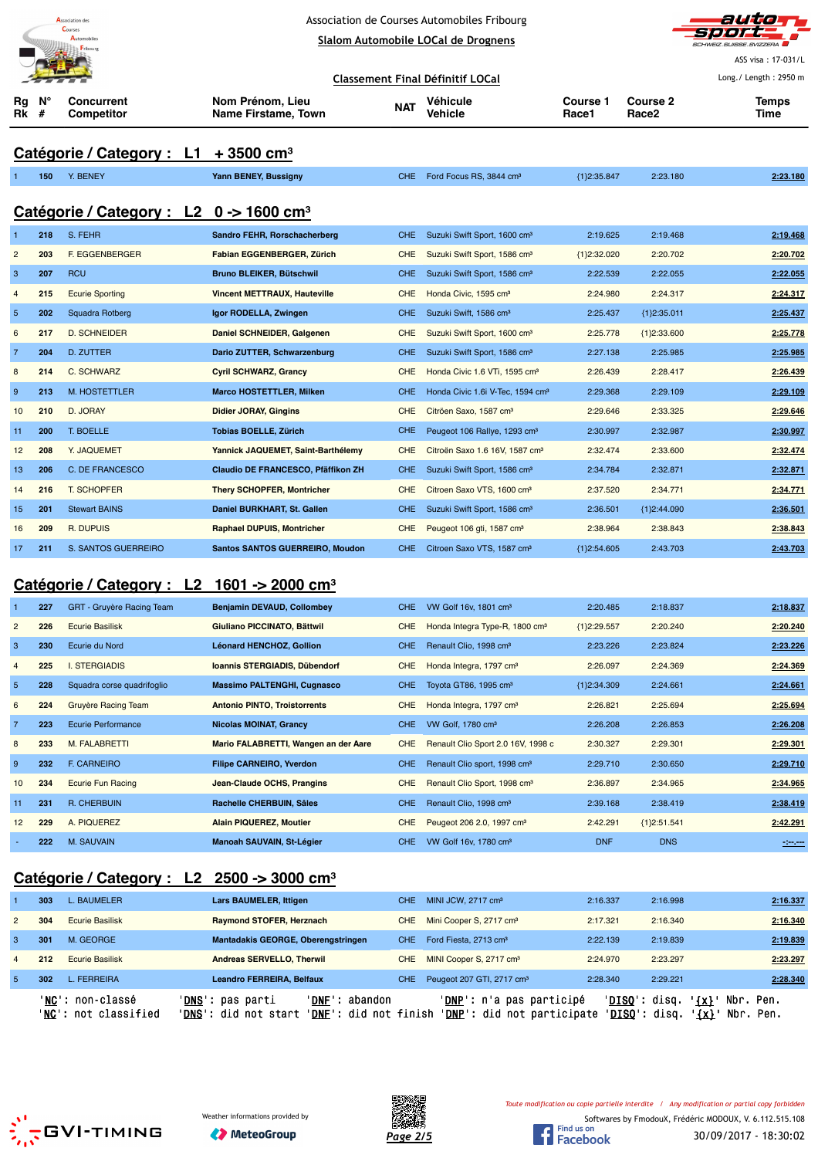|                  |                     | <b>Association</b> des<br>Course:                   |  | Association de Courses Automobiles Fribourg              |            | auto                                         |                          |                   |                                |
|------------------|---------------------|-----------------------------------------------------|--|----------------------------------------------------------|------------|----------------------------------------------|--------------------------|-------------------|--------------------------------|
|                  |                     |                                                     |  |                                                          |            | Slalom Automobile LOCal de Drognens          |                          |                   | <b>SCHWEIZ SUISSE SVIZZERA</b> |
|                  |                     |                                                     |  |                                                          |            |                                              |                          |                   | ASS visa: 17-031/L             |
|                  |                     |                                                     |  |                                                          |            | <b>Classement Final Définitif LOCal</b>      |                          |                   | Long./ Length: 2950 m          |
| Rg<br>Rk         | N <sub>c</sub><br># | <b>Concurrent</b><br>Competitor                     |  | Nom Prénom, Lieu<br>Name Firstame, Town                  | <b>NAT</b> | Véhicule<br><b>Vehicle</b>                   | <b>Course 1</b><br>Race1 | Course 2<br>Race2 | Temps<br>Time                  |
|                  |                     |                                                     |  |                                                          |            |                                              |                          |                   |                                |
|                  |                     | Catégorie / Category : $L1 + 3500$ cm <sup>3</sup>  |  |                                                          |            |                                              |                          |                   |                                |
|                  | 150                 | Y. BENEY                                            |  | Yann BENEY, Bussigny                                     | CHE.       | Ford Focus RS, 3844 cm <sup>3</sup>          | {1}2:35.847              | 2:23.180          | 2:23.180                       |
|                  |                     |                                                     |  |                                                          |            |                                              |                          |                   |                                |
|                  |                     | Catégorie / Category : L2 0 -> 1600 cm <sup>3</sup> |  |                                                          |            |                                              |                          |                   |                                |
| 1                | 218                 | S. FEHR                                             |  | Sandro FEHR, Rorschacherberg                             | <b>CHE</b> | Suzuki Swift Sport, 1600 cm <sup>3</sup>     | 2:19.625                 | 2:19.468          | 2:19.468                       |
| $\overline{c}$   | 203                 | F. EGGENBERGER                                      |  | Fabian EGGENBERGER, Zürich                               | CHE        | Suzuki Swift Sport, 1586 cm <sup>3</sup>     | ${1}2:32.020$            | 2:20.702          | 2:20.702                       |
| 3                | 207                 | <b>RCU</b>                                          |  | <b>Bruno BLEIKER, Bütschwil</b>                          | <b>CHE</b> | Suzuki Swift Sport, 1586 cm <sup>3</sup>     | 2:22.539                 | 2:22.055          | 2:22.055                       |
| $\overline{4}$   | 215                 | <b>Ecurie Sporting</b>                              |  | <b>Vincent METTRAUX, Hauteville</b>                      | <b>CHE</b> | Honda Civic, 1595 cm <sup>3</sup>            | 2:24.980                 | 2:24.317          | 2:24.317                       |
| $\overline{5}$   | 202                 | <b>Squadra Rotberg</b>                              |  | Igor RODELLA, Zwingen                                    | <b>CHE</b> | Suzuki Swift, 1586 cm <sup>3</sup>           | 2:25.437                 | ${1}2:35.011$     | 2:25.437                       |
| $6\phantom{1}6$  | 217                 | <b>D. SCHNEIDER</b>                                 |  | Daniel SCHNEIDER, Galgenen                               | <b>CHE</b> | Suzuki Swift Sport, 1600 cm <sup>3</sup>     | 2:25.778                 | ${1}2:33.600$     | 2:25.778                       |
| $\overline{7}$   | 204                 | <b>D. ZUTTER</b>                                    |  | Dario ZUTTER, Schwarzenburg                              | <b>CHE</b> | Suzuki Swift Sport, 1586 cm <sup>3</sup>     | 2:27.138                 | 2:25.985          | 2:25.985                       |
| 8                | 214                 | C. SCHWARZ                                          |  | <b>Cyril SCHWARZ, Grancy</b>                             | <b>CHE</b> | Honda Civic 1.6 VTi, 1595 cm <sup>3</sup>    | 2:26.439                 | 2:28.417          | 2:26.439                       |
| $\boldsymbol{9}$ | 213                 | M. HOSTETTLER                                       |  | <b>Marco HOSTETTLER, Milken</b>                          | <b>CHE</b> | Honda Civic 1.6i V-Tec, 1594 cm <sup>3</sup> | 2:29.368                 | 2:29.109          | 2:29.109                       |
| 10               | 210                 | D. JORAY                                            |  | <b>Didier JORAY, Gingins</b>                             | <b>CHE</b> | Citröen Saxo, 1587 cm <sup>3</sup>           | 2:29.646                 | 2:33.325          | 2:29.646                       |
| 11               | 200                 | T. BOELLE                                           |  | <b>Tobias BOELLE, Zürich</b>                             | <b>CHE</b> | Peugeot 106 Rallye, 1293 cm <sup>3</sup>     | 2:30.997                 | 2:32.987          | 2:30.997                       |
| 12               | 208                 | Y. JAQUEMET                                         |  | Yannick JAQUEMET, Saint-Barthélemy                       | CHE        | Citroën Saxo 1.6 16V, 1587 cm <sup>3</sup>   | 2:32.474                 | 2:33.600          | 2:32.474                       |
| 13               | 206                 | C. DE FRANCESCO                                     |  | Claudio DE FRANCESCO, Pfäffikon ZH                       | <b>CHE</b> | Suzuki Swift Sport, 1586 cm <sup>3</sup>     | 2:34.784                 | 2:32.871          | 2:32.871                       |
| 14               | 216                 | <b>T. SCHOPFER</b>                                  |  | <b>Thery SCHOPFER, Montricher</b>                        | CHE        | Citroen Saxo VTS, 1600 cm <sup>3</sup>       | 2:37.520                 | 2:34.771          | 2:34.771                       |
| 15               | 201                 | <b>Stewart BAINS</b>                                |  | Daniel BURKHART, St. Gallen                              | <b>CHE</b> | Suzuki Swift Sport, 1586 cm <sup>3</sup>     | 2:36.501                 | ${1}2:44.090$     | 2:36.501                       |
| 16               | 209                 | R. DUPUIS                                           |  | <b>Raphael DUPUIS, Montricher</b>                        | CHE        | Peugeot 106 gti, 1587 cm <sup>3</sup>        | 2:38.964                 | 2:38.843          | 2:38.843                       |
| 17               | 211                 | S. SANTOS GUERREIRO                                 |  | <b>Santos SANTOS GUERREIRO, Moudon</b>                   | <b>CHE</b> | Citroen Saxo VTS, 1587 cm <sup>3</sup>       | ${1}2:54.605$            | 2:43.703          | 2:43.703                       |
|                  |                     |                                                     |  |                                                          |            |                                              |                          |                   |                                |
|                  |                     |                                                     |  | Catégorie / Category : $L2$ 1601 -> 2000 cm <sup>3</sup> |            |                                              |                          |                   |                                |
| $\mathbf{1}$     | 227                 | GRT - Gruyère Racing Team                           |  | <b>Benjamin DEVAUD, Collombey</b>                        | <b>CHE</b> | VW Golf 16v, 1801 cm <sup>3</sup>            | 2:20.485                 | 2:18.837          | 2:18.837                       |
| $\overline{c}$   | 226                 | <b>Ecurie Basilisk</b>                              |  | Giuliano PICCINATO, Bättwil                              | CHE        | Honda Integra Type-R, 1800 cm <sup>3</sup>   | ${1}2:29.557$            | 2:20.240          | 2:20.240                       |
| 3                | 230                 | Ecurie du Nord                                      |  | Léonard HENCHOZ, Gollion                                 | CHE        | Renault Clio, 1998 cm <sup>3</sup>           | 2:23.226                 | 2:23.824          | 2:23.226                       |
| $\overline{4}$   | 225                 | <b>I. STERGIADIS</b>                                |  | Ioannis STERGIADIS, Dübendorf                            | <b>CHE</b> | Honda Integra, 1797 cm <sup>3</sup>          | 2:26.097                 | 2:24.369          | 2:24.369                       |

# **Catégorie / Category : L2 2500 -> 3000 cm³**

| Peugeot 207 GTI, 2717 cm <sup>3</sup><br>-5<br>L. FERREIRA<br>Leandro FERREIRA, Belfaux<br>302<br>2:28.340<br>CHE.                     | 'DISQ': disq.<br>$\{x\}$<br>Nbr. Pen. |
|----------------------------------------------------------------------------------------------------------------------------------------|---------------------------------------|
|                                                                                                                                        | 2:28.340<br>2:29.221                  |
| 212<br><b>Ecurie Basilisk</b><br>Andreas SERVELLO, Therwil<br>MINI Cooper S, 2717 cm <sup>3</sup><br>2:24.970<br>CHE.                  | 2:23.297<br>2:23.297                  |
| 3<br>301<br>M. GEORGE<br>Mantadakis GEORGE, Oberengstringen<br>Ford Fiesta, 2713 cm <sup>3</sup><br>2:22.139<br>CHE.                   | 2:19.839<br>2:19.839                  |
| 304<br>Mini Cooper S, 2717 cm <sup>3</sup><br>$\overline{2}$<br><b>Ecurie Basilisk</b><br>Raymond STOFER, Herznach<br>2:17.321<br>CHE. | 2:16.340<br>2:16.340                  |
| <b>Lars BAUMELER, Ittigen</b><br>MINI JCW, 2717 cm <sup>3</sup><br>303<br>L. BAUMELER<br>2:16.337<br>CHE.                              | 2:16.998<br>2:16.337                  |

**228** Squadra corse quadrifoglio **Massimo PALTENGHI, Cugnasco** CHE Toyota GT86, 1995 cm<sup>3</sup> {1}2:34.309 2:24.661 **2:24.661 224** Gruyère Racing Team **Antonio PINTO, Troistorrents** CHE Honda Integra, 1797 cm³ 2:26.821 2:25.694 **2:25.694 223** Ecurie Performance **Nicolas MOINAT, Grancy** CHE VW Golf, 1780 cm³ 2:26.208 2:26.853 **2:26.208 233** M. FALABRETTI **Mario FALABRETTI, Wangen an der Aare** CHE Renault Clio Sport 2.0 16V, 1998 c 2:30.327 2:29.301 **2:29.301 232** F. CARNEIRO **Filipe CARNEIRO, Yverdon** CHE Renault Clio sport, 1998 cm<sup>3</sup> 2:29.710 2:30.650 2:29.710 2:30.650 **234** Ecurie Fun Racing **Jean-Claude OCHS, Prangins** CHE Renault Clio Sport, 1998 cm³ 2:36.897 2:34.965 **2:34.965 231** R. CHERBUIN **Rachelle CHERBUIN, Sâles** CHE Renault Clio, 1998 cm³ 2:39.168 2:38.419 **2:38.419 229** A. PIQUEREZ **Alain PIQUEREZ, Moutier** CHE Peugeot 206 2.0, 1997 cm³ 2:42.291 {1}2:51.541 **2:42.291** - **222** M. SAUVAIN **Manoah SAUVAIN, St-Légier** CHE VW Golf 16v, 1780 cm³ DNF DNS **-:--.---**





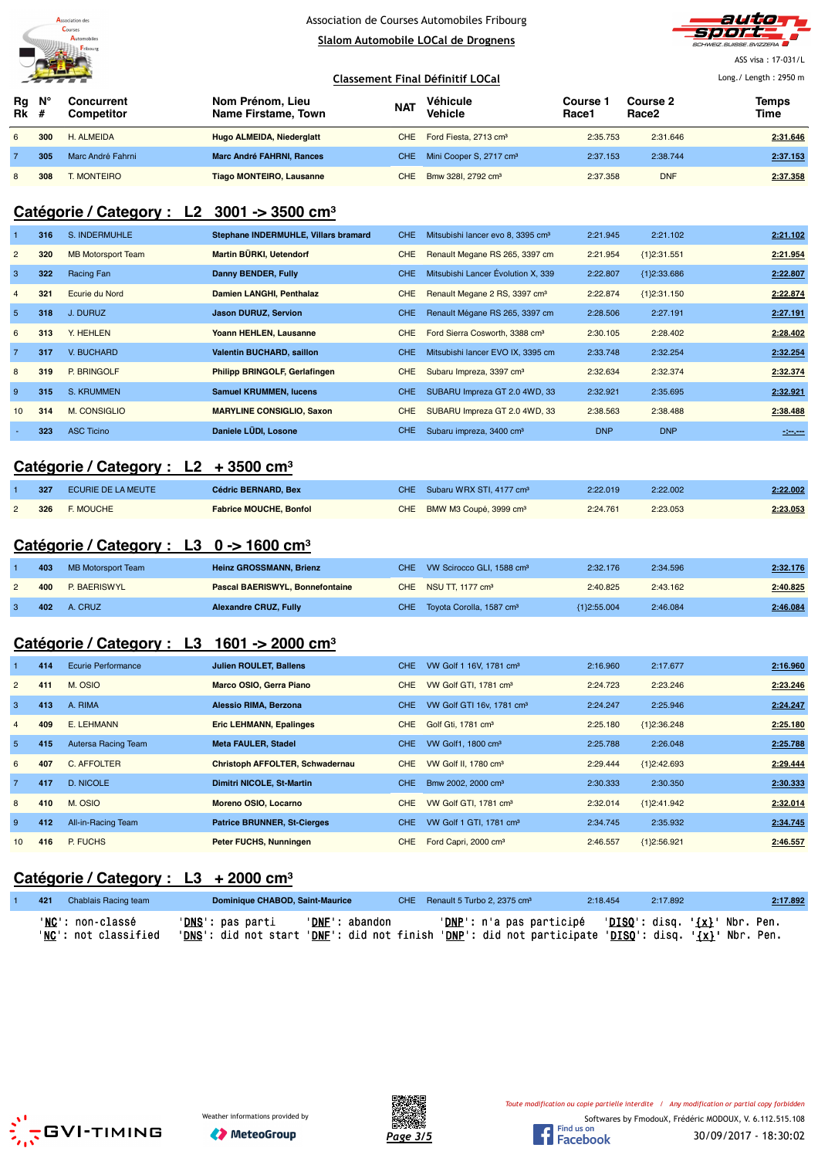

# Association de Courses Automobiles Fribourg

**Slalom Automobile LOCal de Drognens**



ASS visa : 17-031/L

|                   |             | <u> The Common State of the Common State of the Common State of the Common State of the Common State of the Common State of the Common State of the Common State of the Common State of the Common State of the Common State of </u> |                                         |            | Classement Final Définitif LOCal        | Long./ Length: 2950 m |                               |               |
|-------------------|-------------|--------------------------------------------------------------------------------------------------------------------------------------------------------------------------------------------------------------------------------------|-----------------------------------------|------------|-----------------------------------------|-----------------------|-------------------------------|---------------|
| Rq<br><b>Rk</b> # | $N^{\circ}$ | Concurrent<br><b>Competitor</b>                                                                                                                                                                                                      | Nom Prénom, Lieu<br>Name Firstame, Town | <b>NAT</b> | Véhicule<br><b>Vehicle</b>              | Course<br>Race1       | Course 2<br>Race <sub>2</sub> | Temps<br>Time |
| 6                 | 300         | H. ALMEIDA                                                                                                                                                                                                                           | Hugo ALMEIDA, Niederglatt               |            | CHE Ford Fiesta, 2713 cm <sup>3</sup>   | 2:35.753              | 2:31.646                      | 2:31.646      |
|                   | 305         | Marc André Fahrni                                                                                                                                                                                                                    | <b>Marc André FAHRNI, Rances</b>        |            | CHE Mini Cooper S, 2717 cm <sup>3</sup> | 2:37.153              | 2:38.744                      | 2:37.153      |
| 8                 | 308         | <b>MONTEIRO</b>                                                                                                                                                                                                                      | <b>Tiago MONTEIRO, Lausanne</b>         | CHE        | Bmw 3281, 2792 cm <sup>3</sup>          | 2:37.358              | <b>DNF</b>                    | 2:37.358      |

# **Catégorie / Category : L2 3001 -> 3500 cm³**

|                | 316 | S. INDERMUHLE             | Stephane INDERMUHLE, Villars bramard | <b>CHE</b> | Mitsubishi lancer evo 8, 3395 cm <sup>3</sup> | 2:21.945   | 2:21.102      | 2:21.102 |
|----------------|-----|---------------------------|--------------------------------------|------------|-----------------------------------------------|------------|---------------|----------|
| $\overline{2}$ | 320 | <b>MB Motorsport Team</b> | Martin BÜRKI, Uetendorf              | CHE        | Renault Megane RS 265, 3397 cm                | 2:21.954   | ${1}2:31.551$ | 2:21.954 |
| 3              | 322 | Racing Fan                | Danny BENDER, Fully                  | <b>CHE</b> | Mitsubishi Lancer Évolution X, 339            | 2:22.807   | ${1}2:33.686$ | 2:22.807 |
| $\overline{4}$ | 321 | Ecurie du Nord            | Damien LANGHI, Penthalaz             | <b>CHE</b> | Renault Megane 2 RS, 3397 cm <sup>3</sup>     | 2:22.874   | ${1}2:31.150$ | 2:22.874 |
| 5              | 318 | J. DURUZ                  | <b>Jason DURUZ, Servion</b>          | CHE.       | Renault Mégane RS 265, 3397 cm                | 2:28.506   | 2:27.191      | 2:27.191 |
| 6              | 313 | Y. HEHLEN                 | Yoann HEHLEN, Lausanne               | <b>CHE</b> | Ford Sierra Cosworth, 3388 cm <sup>3</sup>    | 2:30.105   | 2:28.402      | 2:28.402 |
| $\overline{7}$ | 317 | V. BUCHARD                | <b>Valentin BUCHARD, saillon</b>     | CHE.       | Mitsubishi lancer EVO IX, 3395 cm             | 2:33.748   | 2:32.254      | 2:32.254 |
| 8              | 319 | P. BRINGOLF               | Philipp BRINGOLF, Gerlafingen        | <b>CHE</b> | Subaru Impreza, 3397 cm <sup>3</sup>          | 2:32.634   | 2:32.374      | 2:32.374 |
| 9              | 315 | S. KRUMMEN                | <b>Samuel KRUMMEN, lucens</b>        | <b>CHE</b> | SUBARU Impreza GT 2.0 4WD, 33                 | 2:32.921   | 2:35.695      | 2:32.921 |
| 10             | 314 | <b>M. CONSIGLIO</b>       | <b>MARYLINE CONSIGLIO, Saxon</b>     | <b>CHE</b> | SUBARU Impreza GT 2.0 4WD, 33                 | 2:38.563   | 2:38.488      | 2:38.488 |
|                | 323 | <b>ASC Ticino</b>         | Daniele LÜDI, Losone                 | CHE.       | Subaru impreza, 3400 cm <sup>3</sup>          | <b>DNP</b> | <b>DNP</b>    | $-200$   |

### **Catégorie / Category : L2 + 3500 cm³**

| 327 | ECURIE DE LA MEUTE | <b>Cédric BERNARD, Bex</b>    | CHE Subaru WRX STI, 4177 cm <sup>3</sup> | 2:22.019 | 2:22.002 | 2:22.002 |
|-----|--------------------|-------------------------------|------------------------------------------|----------|----------|----------|
| 326 | <b>E. MOUCHE</b>   | <b>Fabrice MOUCHE, Bonfol</b> | CHE BMW M3 Coupé, 3999 cm <sup>3</sup>   | 2:24.761 | 2:23.053 | 2:23.053 |

#### **Catégorie / Category : L3 0 -> 1600 cm³**

| 403 | MB Motorsport Team | <b>Heinz GROSSMANN, Brienz</b>         | CHE VW Scirocco GLI, 1588 cm <sup>3</sup> | 2:32.176      | 2:34.596 | 2:32.176 |
|-----|--------------------|----------------------------------------|-------------------------------------------|---------------|----------|----------|
| 400 | P. BAERISWYL       | <b>Pascal BAERISWYL, Bonnefontaine</b> | CHE NSU TT, 1177 cm <sup>3</sup>          | 2:40.825      | 2:43.162 | 2:40.825 |
|     | <b>402</b> A. CRUZ | <b>Alexandre CRUZ, Fully</b>           | CHE Toyota Corolla, 1587 cm <sup>3</sup>  | ${1}2:55.004$ | 2:46.084 | 2:46.084 |

#### **Catégorie / Category : L3 1601 -> 2000 cm³**

| $\mathbf{1}$   | 414 | Ecurie Performance  | Julien ROULET, Ballens             | CHE. | VW Golf 1 16V, 1781 cm <sup>3</sup>   | 2:16.960 | 2:17.677      | 2:16.960 |
|----------------|-----|---------------------|------------------------------------|------|---------------------------------------|----------|---------------|----------|
| $\overline{2}$ | 411 | M. OSIO             | Marco OSIO, Gerra Piano            | CHE. | VW Golf GTI, 1781 cm <sup>3</sup>     | 2:24.723 | 2:23.246      | 2:23.246 |
| -3.            | 413 | A. RIMA             | Alessio RIMA, Berzona              | CHE. | VW Golf GTI 16v, 1781 cm <sup>3</sup> | 2:24.247 | 2:25.946      | 2:24.247 |
| $\overline{4}$ | 409 | E. LEHMANN          | <b>Eric LEHMANN, Epalinges</b>     | CHE. | Golf Gti, 1781 cm <sup>3</sup>        | 2:25.180 | ${1}2:36.248$ | 2:25.180 |
| 5              | 415 | Autersa Racing Team | <b>Meta FAULER, Stadel</b>         | CHE. | VW Golf1, 1800 cm <sup>3</sup>        | 2:25.788 | 2:26.048      | 2:25.788 |
| 6              | 407 | C. AFFOLTER         | Christoph AFFOLTER, Schwadernau    | CHE. | VW Golf II, 1780 cm <sup>3</sup>      | 2:29.444 | ${1}2:42.693$ | 2:29.444 |
| $\overline{7}$ | 417 | <b>D. NICOLE</b>    | <b>Dimitri NICOLE, St-Martin</b>   | CHE. | Bmw 2002, 2000 cm <sup>3</sup>        | 2:30.333 | 2:30.350      | 2:30.333 |
| 8              | 410 | M. OSIO             | Moreno OSIO, Locarno               | CHE. | VW Golf GTI, 1781 cm <sup>3</sup>     | 2:32.014 | ${1}2:41.942$ | 2:32.014 |
| 9              | 412 | All-in-Racing Team  | <b>Patrice BRUNNER, St-Cierges</b> | CHE. | VW Golf 1 GTI, 1781 cm <sup>3</sup>   | 2:34.745 | 2:35.932      | 2:34.745 |
| 10             | 416 | P. FUCHS            | Peter FUCHS, Nunningen             | CHE. | Ford Capri, 2000 cm <sup>3</sup>      | 2:46.557 | {1}2:56.921   | 2:46.557 |

### **Catégorie / Category : L3 + 2000 cm³**

| 421 | Chablais Racing team     | Dominique CHABOD, Saint-Maurice |                | CHE Renault 5 Turbo 2, 2375 cm <sup>3</sup>                                                         | 2:18.454 | 2:17.892 | 2:17.892 |
|-----|--------------------------|---------------------------------|----------------|-----------------------------------------------------------------------------------------------------|----------|----------|----------|
|     | ' <b>NC':</b> non-classé | ' <b>DNS</b> ': pas parti       | 'DNF': abandon | ' <u>DNP</u> ': n'a pas participé   ' <u>DISQ</u> ': disq. ' <u>{x}</u> ' Nbr. Pen.                 |          |          |          |
|     | 'NC': not classified     |                                 |                | 'DNS': did not start 'DNE': did not finish 'DNP': did not participate 'DISQ': disq. '{X}' Nbr. Pen. |          |          |          |





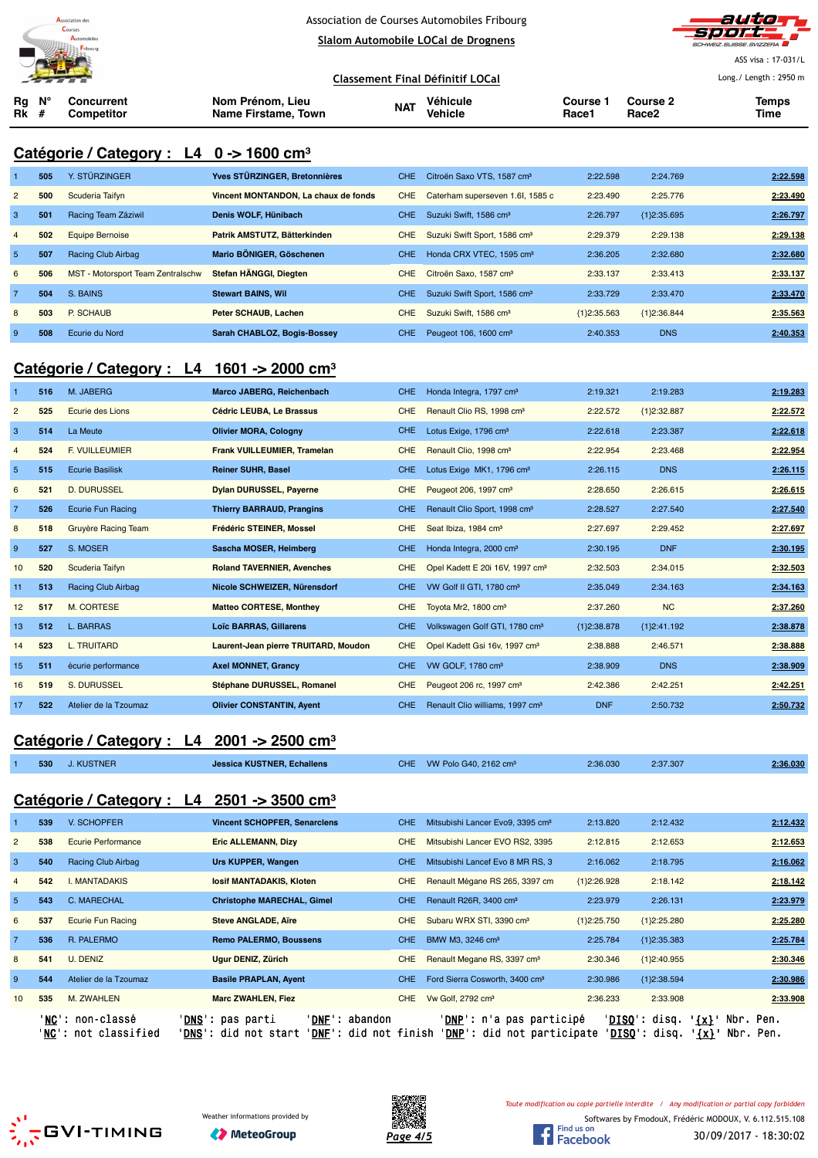



ASS visa : 17-031/L Long./ Length : 2950 m

**Classement Final Définitif LOCal**

**Rg Rk N° # Concurrent Competitor Nom Prénom, Lieu Name Firstame, Town Véhicule Vehicle Course 1 Race1 Course 2 Race2 Temps NAT Vehicle The Counse Counse Counse Counse Counse Time NAT Vehicle The Race 2 T** 

### **Catégorie / Category : L4 0 -> 1600 cm³**

|                | 505 | Y. STÜRZINGER                     | Yves STÜRZINGER, Bretonnières        | CHE.       | Citroën Saxo VTS, 1587 cm <sup>3</sup>   | 2:22.598      | 2:24.769      | 2:22.598 |
|----------------|-----|-----------------------------------|--------------------------------------|------------|------------------------------------------|---------------|---------------|----------|
| $\overline{2}$ | 500 | Scuderia Taifyn                   | Vincent MONTANDON. La chaux de fonds | <b>CHE</b> | Caterham superseven 1.6l, 1585 c         | 2:23.490      | 2:25.776      | 2:23.490 |
| 3              | 501 | Racing Team Zäziwil               | Denis WOLF, Hünibach                 | <b>CHE</b> | Suzuki Swift, 1586 cm <sup>3</sup>       | 2:26.797      | ${1}2:35.695$ | 2:26.797 |
| $\overline{4}$ | 502 | <b>Equipe Bernoise</b>            | Patrik AMSTUTZ, Bätterkinden         | <b>CHE</b> | Suzuki Swift Sport, 1586 cm <sup>3</sup> | 2:29.379      | 2:29.138      | 2:29.138 |
| 5              | 507 | Racing Club Airbag                | Mario BÖNIGER, Göschenen             | CHE.       | Honda CRX VTEC, 1595 cm <sup>3</sup>     | 2:36.205      | 2:32.680      | 2:32.680 |
| 6              | 506 | MST - Motorsport Team Zentralschw | Stefan HÄNGGI, Diegten               | <b>CHE</b> | Citroën Saxo, 1587 cm <sup>3</sup>       | 2:33.137      | 2:33.413      | 2:33.137 |
| $\overline{7}$ | 504 | S. BAINS                          | <b>Stewart BAINS, Wil</b>            | CHE.       | Suzuki Swift Sport, 1586 cm <sup>3</sup> | 2:33.729      | 2:33.470      | 2:33.470 |
| 8              | 503 | P. SCHAUB                         | Peter SCHAUB, Lachen                 | <b>CHE</b> | Suzuki Swift, 1586 cm <sup>3</sup>       | ${1}2:35.563$ | {1}2:36.844   | 2:35.563 |
| 9              | 508 | Ecurie du Nord                    | Sarah CHABLOZ, Bogis-Bossev          | CHE.       | Peugeot 106, 1600 cm <sup>3</sup>        | 2:40.353      | <b>DNS</b>    | 2:40.353 |

### **Catégorie / Category : L4 1601 -> 2000 cm³**

|                | 516 | M. JABERG                  | Marco JABERG, Reichenbach            | <b>CHE</b> | Honda Integra, 1797 cm <sup>3</sup>         | 2:19.321    | 2:19.283      | 2:19.283 |
|----------------|-----|----------------------------|--------------------------------------|------------|---------------------------------------------|-------------|---------------|----------|
| $\overline{2}$ | 525 | Ecurie des Lions           | Cédric LEUBA, Le Brassus             | <b>CHE</b> | Renault Clio RS, 1998 cm <sup>3</sup>       | 2:22.572    | {1}2:32.887   | 2:22.572 |
| 3              | 514 | La Meute                   | <b>Olivier MORA, Cologny</b>         | <b>CHE</b> | Lotus Exige, 1796 cm <sup>3</sup>           | 2:22.618    | 2:23.387      | 2:22.618 |
| $\overline{4}$ | 524 | <b>F. VUILLEUMIER</b>      | <b>Frank VUILLEUMIER, Tramelan</b>   | <b>CHE</b> | Renault Clio, 1998 cm <sup>3</sup>          | 2:22.954    | 2:23.468      | 2:22.954 |
| $\overline{5}$ | 515 | <b>Ecurie Basilisk</b>     | <b>Reiner SUHR, Basel</b>            | <b>CHE</b> | Lotus Exige MK1, 1796 cm <sup>3</sup>       | 2:26.115    | <b>DNS</b>    | 2:26.115 |
| 6              | 521 | <b>D. DURUSSEL</b>         | <b>Dylan DURUSSEL, Payerne</b>       | <b>CHE</b> | Peugeot 206, 1997 cm <sup>3</sup>           | 2:28.650    | 2:26.615      | 2:26.615 |
| $\overline{7}$ | 526 | <b>Ecurie Fun Racing</b>   | <b>Thierry BARRAUD, Prangins</b>     | <b>CHE</b> | Renault Clio Sport, 1998 cm <sup>3</sup>    | 2:28.527    | 2:27.540      | 2:27.540 |
| 8              | 518 | <b>Gruyère Racing Team</b> | Frédéric STEINER, Mossel             | <b>CHE</b> | Seat Ibiza, 1984 cm <sup>3</sup>            | 2:27.697    | 2:29.452      | 2:27.697 |
| 9              | 527 | S. MOSER                   | Sascha MOSER, Heimberg               | <b>CHE</b> | Honda Integra, 2000 cm <sup>3</sup>         | 2:30.195    | <b>DNF</b>    | 2:30.195 |
| 10             | 520 | Scuderia Taifyn            | <b>Roland TAVERNIER, Avenches</b>    | <b>CHE</b> | Opel Kadett E 20i 16V, 1997 cm <sup>3</sup> | 2:32.503    | 2:34.015      | 2:32.503 |
| 11             | 513 | Racing Club Airbag         | Nicole SCHWEIZER, Nürensdorf         | <b>CHE</b> | VW Golf II GTI, 1780 cm <sup>3</sup>        | 2:35.049    | 2:34.163      | 2:34.163 |
| 12             | 517 | <b>M. CORTESE</b>          | <b>Matteo CORTESE, Monthey</b>       | <b>CHE</b> | Toyota Mr2, 1800 cm <sup>3</sup>            | 2:37.260    | <b>NC</b>     | 2:37.260 |
| 13             | 512 | L. BARRAS                  | <b>Loïc BARRAS, Gillarens</b>        | <b>CHE</b> | Volkswagen Golf GTI, 1780 cm <sup>3</sup>   | {1}2:38.878 | ${1}2:41.192$ | 2:38.878 |
| 14             | 523 | <b>L. TRUITARD</b>         | Laurent-Jean pierre TRUITARD, Moudon | <b>CHE</b> | Opel Kadett Gsi 16v, 1997 cm <sup>3</sup>   | 2:38.888    | 2:46.571      | 2:38.888 |
| 15             | 511 | écurie performance         | <b>Axel MONNET, Grancy</b>           | <b>CHE</b> | VW GOLF, 1780 cm <sup>3</sup>               | 2:38.909    | <b>DNS</b>    | 2:38.909 |
| 16             | 519 | S. DURUSSEL                | Stéphane DURUSSEL, Romanel           | <b>CHE</b> | Peugeot 206 rc, 1997 cm <sup>3</sup>        | 2:42.386    | 2:42.251      | 2:42.251 |
| 17             | 522 | Atelier de la Tzoumaz      | <b>Olivier CONSTANTIN, Ayent</b>     | <b>CHE</b> | Renault Clio williams, 1997 cm <sup>3</sup> | <b>DNF</b>  | 2:50.732      | 2:50.732 |

### **Catégorie / Category : L4 2001 -> 2500 cm³**

|                |     | <b>VAICYVIIC / VAICYVIV.</b><br><b>LT</b> | $\mathsf{Z}$                                             |            |                                              |               |               |          |
|----------------|-----|-------------------------------------------|----------------------------------------------------------|------------|----------------------------------------------|---------------|---------------|----------|
|                | 530 | <b>J. KUSTNER</b>                         | <b>Jessica KUSTNER, Echallens</b>                        | CHE.       | VW Polo G40, 2162 cm <sup>3</sup>            | 2:36.030      | 2:37.307      | 2:36.030 |
|                |     |                                           |                                                          |            |                                              |               |               |          |
|                |     |                                           | Catégorie / Category : $L4$ 2501 -> 3500 cm <sup>3</sup> |            |                                              |               |               |          |
|                | 539 | V. SCHOPFER                               | <b>Vincent SCHOPFER, Senarclens</b>                      | CHE.       | Mitsubishi Lancer Evo9, 3395 cm <sup>3</sup> | 2:13.820      | 2:12.432      | 2:12.432 |
| $\overline{2}$ | 538 | <b>Ecurie Performance</b>                 | <b>Eric ALLEMANN, Dizy</b>                               | <b>CHE</b> | Mitsubishi Lancer EVO RS2, 3395              | 2:12.815      | 2:12.653      | 2:12.653 |
| 3              | 540 | Racing Club Airbag                        | Urs KUPPER, Wangen                                       | <b>CHE</b> | Mitsubishi Lancef Evo 8 MR RS, 3             | 2:16.062      | 2:18.795      | 2:16.062 |
| $\overline{4}$ | 542 | <b>I. MANTADAKIS</b>                      | losif MANTADAKIS, Kloten                                 | <b>CHE</b> | Renault Mégane RS 265, 3397 cm               | ${1}2:26.928$ | 2:18.142      | 2:18.142 |
| 5 <sup>5</sup> | 543 | C. MARECHAL                               | <b>Christophe MARECHAL, Gimel</b>                        | CHE.       | Renault R26R, 3400 cm <sup>3</sup>           | 2:23.979      | 2:26.131      | 2:23.979 |
| 6              | 537 | <b>Ecurie Fun Racing</b>                  | <b>Steve ANGLADE, Aire</b>                               | <b>CHE</b> | Subaru WRX STI, 3390 cm <sup>3</sup>         | ${1}2:25.750$ | ${1}2:25.280$ | 2:25.280 |
| $\overline{7}$ | 536 | R. PALERMO                                | <b>Remo PALERMO, Boussens</b>                            | CHE.       | BMW M3, 3246 cm <sup>3</sup>                 | 2:25.784      | ${1}2:35.383$ | 2:25.784 |
| 8              | 541 | U. DENIZ                                  | Ugur DENIZ, Zürich                                       | <b>CHE</b> | Renault Megane RS, 3397 cm <sup>3</sup>      | 2:30.346      | ${1}2:40.955$ | 2:30.346 |
| 9              | 544 | Atelier de la Tzoumaz                     | <b>Basile PRAPLAN, Ayent</b>                             | <b>CHE</b> | Ford Sierra Cosworth, 3400 cm <sup>3</sup>   | 2:30.986      | ${1}2:38.594$ | 2:30.986 |
| 10             | 535 | M. ZWAHLEN                                | <b>Marc ZWAHLEN, Fiez</b>                                | <b>CHE</b> | Vw Golf, 2792 cm <sup>3</sup>                | 2:36.233      | 2:33.908      | 2:33.908 |

'<u>NC</u>': non-classé '<u>DNS</u>': pas parti '<u>DNF</u>': abandon '<u>DNP</u>': n'a pas participé '<u>DISQ</u>': disq. '<u>{x}</u>' Nbr. Pen.







*Toute modification ou copie partielle interdite / Any modification or partial copy forbidden*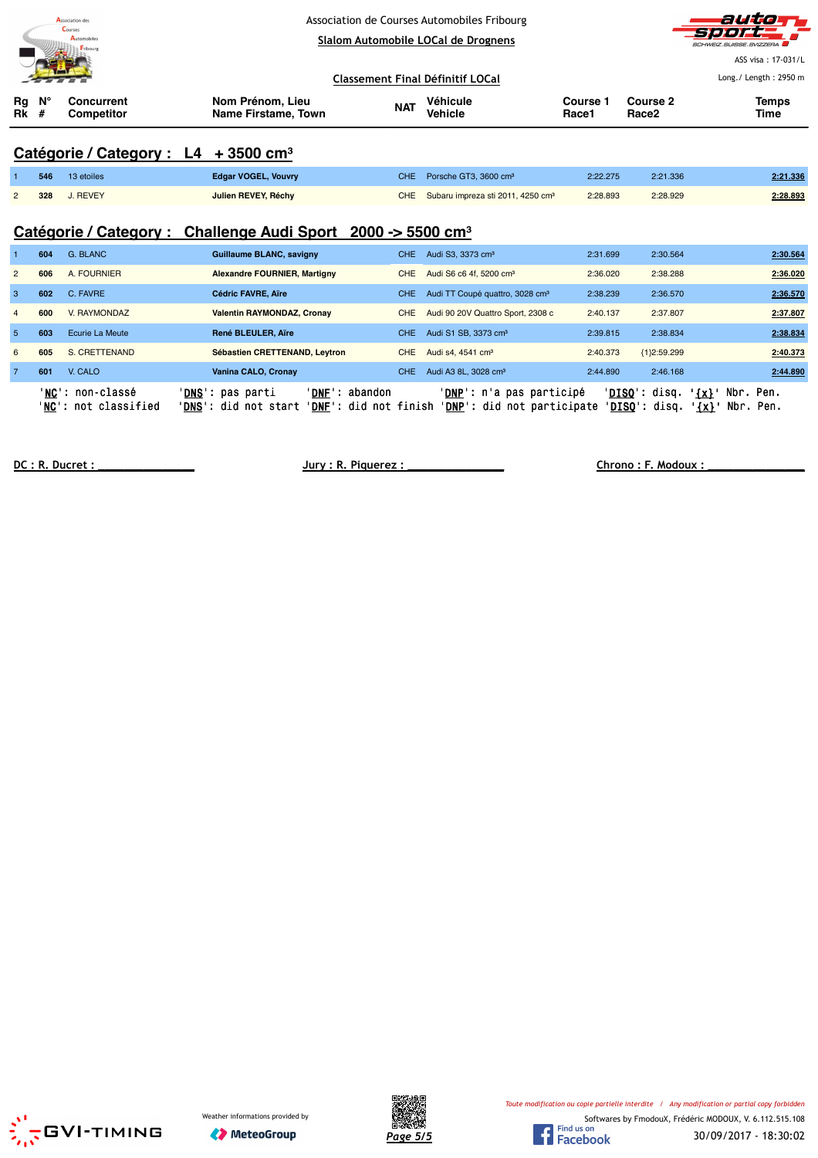|                     | Association des<br>Courses<br>Automobiles<br>Fribourg |                                                  | Association de Courses Automobiles Fribourg<br>Slalom Automobile LOCal de Drognens |                            |                   |                               |                       |
|---------------------|-------------------------------------------------------|--------------------------------------------------|------------------------------------------------------------------------------------|----------------------------|-------------------|-------------------------------|-----------------------|
|                     |                                                       |                                                  |                                                                                    |                            |                   |                               | ASS visa: 17-031/L    |
|                     |                                                       |                                                  | Classement Final Définitif LOCal                                                   |                            |                   |                               | Long./ Length: 2950 m |
| Ν°<br>Rg<br>Rk<br># | <b>Concurrent</b><br>Competitor                       | Nom Prénom, Lieu<br>Name Firstame, Town          | <b>NAT</b>                                                                         | Véhicule<br><b>Vehicle</b> | Course 1<br>Race1 | Course 2<br>Race <sub>2</sub> | <b>Temps</b><br>Time  |
|                     |                                                       | Catégorie / Category : L4 + 3500 cm <sup>3</sup> |                                                                                    |                            |                   |                               |                       |

### **Catégorie / Category : L4 + 3500 cm³**

|                | 546 | 13 etoiles   | <b>Edgar VOGEL, Vouvry</b> | CHE Porsche GT3, 3600 cm <sup>3</sup>             | 2:22.275 | 2:21.336 | 2:21.336 |
|----------------|-----|--------------|----------------------------|---------------------------------------------------|----------|----------|----------|
| $\overline{2}$ |     | 328 J. REVEY | Julien REVEY, Réchy        | CHE Subaru impreza sti 2011, 4250 cm <sup>3</sup> | 2:28.893 | 2:28.929 | 2:28.893 |

# **Catégorie / Category : Challenge Audi Sport 2000 -> 5500 cm³**

|                | 604 | G. BLANC                                 | <b>Guillaume BLANC, savigny</b>                  | <b>CHE</b>                                       | Audi S3, 3373 cm <sup>3</sup>                                            | 2:31.699 | 2:30.564                        | 2:30.564                                     |
|----------------|-----|------------------------------------------|--------------------------------------------------|--------------------------------------------------|--------------------------------------------------------------------------|----------|---------------------------------|----------------------------------------------|
| $\overline{2}$ | 606 | A. FOURNIER                              | <b>Alexandre FOURNIER, Martigny</b>              | <b>CHE</b>                                       | Audi S6 c6 4f, 5200 cm <sup>3</sup>                                      | 2:36.020 | 2:38.288                        | 2:36.020                                     |
| 3              | 602 | C. FAVRE                                 | <b>Cédric FAVRE, Aire</b>                        | <b>CHE</b>                                       | Audi TT Coupé quattro, 3028 cm <sup>3</sup>                              | 2:38.239 | 2:36.570                        | 2:36.570                                     |
| $\overline{4}$ | 600 | V. RAYMONDAZ                             | <b>Valentin RAYMONDAZ, Cronav</b>                | <b>CHE</b>                                       | Audi 90 20V Quattro Sport, 2308 c                                        | 2:40.137 | 2:37.807                        | 2:37.807                                     |
| $\overline{5}$ | 603 | Ecurie La Meute                          | René BLEULER, Aïre                               | <b>CHE</b>                                       | Audi S1 SB, 3373 cm <sup>3</sup>                                         | 2:39.815 | 2:38.834                        | 2:38.834                                     |
| 6              | 605 | S. CRETTENAND                            | Sébastien CRETTENAND, Leytron                    | <b>CHE</b>                                       | Audi s4, 4541 cm <sup>3</sup>                                            | 2:40.373 | ${1}2:59.299$                   | 2:40.373                                     |
| $\overline{7}$ | 601 | V. CALO                                  | Vanina CALO, Cronay                              | <b>CHE</b>                                       | Audi A3 8L, 3028 cm <sup>3</sup>                                         | 2:44.890 | 2:46.168                        | 2:44.890                                     |
|                |     | 'NC': non-classé<br>'NC': not classified | 'DNS': pas parti<br>' <b>DNS':</b> did not start | 'DNF': abandon<br>' <b>DNF</b> ': did not finish | ' <b>DNP</b> ': n'a pas participé<br>' <b>DNP</b> ': did not participate | 'DISO':  | ' <b>DISO</b> ': disq.<br>disq. | $\{x\}$<br>Nbr. Pen.<br>Nbr. Pen.<br>$\{x\}$ |

**DC : R. Ducret : \_\_\_\_\_\_\_\_\_\_\_\_\_\_\_ Jury : R. Piquerez : \_\_\_\_\_\_\_\_\_\_\_\_\_\_\_ Chrono : F. Modoux : \_\_\_\_\_\_\_\_\_\_\_\_\_\_\_**





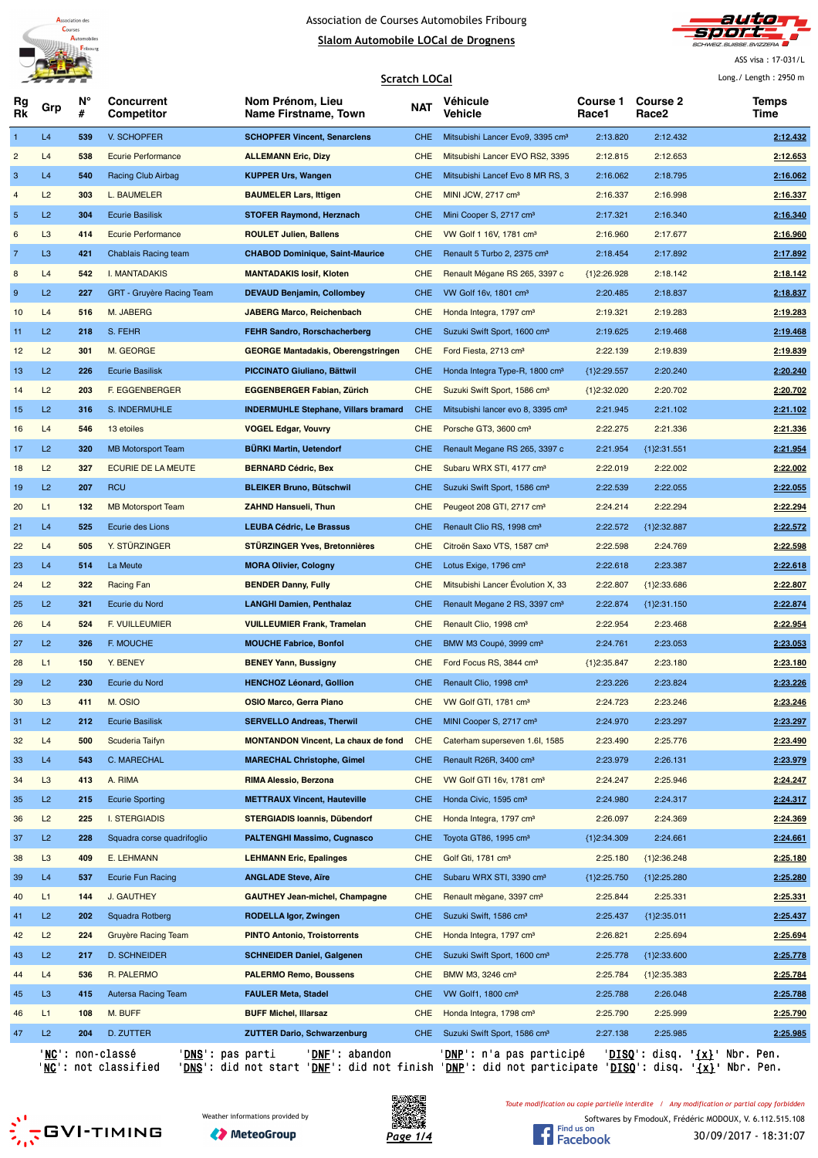

**N°**

**Concurrent**

**Rg Rk**

#### Association de Courses Automobiles Fribourg **Slalom Automobile LOCal de Drognens**

**Scratch LOCal**

**Véhicule Vehicle**

**Nom Prénom, Lieu Name Firstname, Town**



**Course 1 Race1**

**Course 2 Race2**

ASS visa : 17-031/L Long./ Length : 2950 m

**Temps**

**# Competitor** Grp **Manufacture Construction NAT NAT Venicule Counsel Counsel 2 Counsel 1 Counsel 1 Counsel 1 Counsel 1 Counsel 1 Counsel 1 Counsel 1 Counsel 1 Counsel 1 Counsel 1 Counsel 1 Time**  L4 **539** V. SCHOPFER **SCHOPFER Vincent, Senarclens** CHE Mitsubishi Lancer Evo9, 3395 cm³ 2:13.820 2:12.432 **2:12.432** L4 **538** Ecurie Performance **ALLEMANN Eric, Dizy** CHE Mitsubishi Lancer EVO RS2, 3395 2:12.815 2:12.653 **2:12.653** L4 **540** Racing Club Airbag **KUPPER Urs, Wangen** CHE Mitsubishi Lancef Evo 8 MR RS, 3 2:16.062 2:18.795 **2:16.062** L2 **303** L. BAUMELER **BAUMELER Lars, Ittigen** CHE MINI JCW, 2717 cm³ 2:16.337 2:16.998 **2:16.337** L2 **304** Ecurie Basilisk **STOFER Raymond, Herznach** CHE Mini Cooper S, 2717 cm³ 2:17.321 2:16.340 **2:16.340** L3 **414** Ecurie Performance **ROULET Julien, Ballens** CHE VW Golf 1 16V, 1781 cm³ 2:16.960 2:17.677 **2:16.960** 7 L3 **421** Chablais Racing team **CHABOD Dominique, Saint-Maurice** CHE Renault 5 Turbo 2, 2375 cm<sup>3</sup> 2:18.454 2:17.892 2:17.892 L4 **542** I. MANTADAKIS **MANTADAKIS Iosif, Kloten** CHE Renault Mégane RS 265, 3397 c {1}2:26.928 2:18.142 **2:18.142** 9 L2 227 GRT - Gruyère Racing Team **DEVAUD Benjamin, Collombey** CHE VW Golf 16v, 1801 cm<sup>3</sup> 2:20.485 2:18.837 2:18.837 L4 **516** M. JABERG **JABERG Marco, Reichenbach** CHE Honda Integra, 1797 cm³ 2:19.321 2:19.283 **2:19.283** L2 **218** S. FEHR **FEHR Sandro, Rorschacherberg** CHE Suzuki Swift Sport, 1600 cm³ 2:19.625 2:19.468 **2:19.468** L2 **301** M. GEORGE **GEORGE Mantadakis, Oberengstringen** CHE Ford Fiesta, 2713 cm³ 2:22.139 2:19.839 **2:19.839** L2 **226** Ecurie Basilisk **PICCINATO Giuliano, Bättwil** CHE Honda Integra Type-R, 1800 cm³ {1}2:29.557 2:20.240 **2:20.240** L2 **203** F. EGGENBERGER **EGGENBERGER Fabian, Zürich** CHE Suzuki Swift Sport, 1586 cm³ {1}2:32.020 2:20.702 **2:20.702** L2 **316** S. INDERMUHLE **INDERMUHLE Stephane, Villars bramard** CHE Mitsubishi lancer evo 8, 3395 cm³ 2:21.945 2:21.102 **2:21.102** L4 **546** 13 etoiles **VOGEL Edgar, Vouvry** CHE Porsche GT3, 3600 cm³ 2:22.275 2:21.336 **2:21.336** L2 **320** MB Motorsport Team **BÜRKI Martin, Uetendorf** CHE Renault Megane RS 265, 3397 c 2:21.954 {1}2:31.551 **2:21.954** L2 **327** ECURIE DE LA MEUTE **BERNARD Cédric, Bex** CHE Subaru WRX STI, 4177 cm³ 2:22.019 2:22.002 **2:22.002** L2 **207** RCU **BLEIKER Bruno, Bütschwil** CHE Suzuki Swift Sport, 1586 cm³ 2:22.539 2:22.055 **2:22.055** L1 **132** MB Motorsport Team **ZAHND Hansueli, Thun** CHE Peugeot 208 GTI, 2717 cm³ 2:24.214 2:22.294 **2:22.294** L4 **525** Ecurie des Lions **LEUBA Cédric, Le Brassus** CHE Renault Clio RS, 1998 cm³ 2:22.572 {1}2:32.887 **2:22.572** L4 **505** Y. STÜRZINGER **STÜRZINGER Yves, Bretonnières** CHE Citroën Saxo VTS, 1587 cm³ 2:22.598 2:24.769 **2:22.598** L4 **514** La Meute **MORA Olivier, Cologny** CHE Lotus Exige, 1796 cm³ 2:22.618 2:23.387 **2:22.618** L2 **322** Racing Fan **BENDER Danny, Fully** CHE Mitsubishi Lancer Évolution X, 33 2:22.807 {1}2:33.686 **2:22.807** L2 **321** Ecurie du Nord **LANGHI Damien, Penthalaz** CHE Renault Megane 2 RS, 3397 cm³ 2:22.874 {1}2:31.150 **2:22.874** L4 **524** F. VUILLEUMIER **VUILLEUMIER Frank, Tramelan** CHE Renault Clio, 1998 cm³ 2:22.954 2:23.468 **2:22.954** L2 **326** F. MOUCHE **MOUCHE Fabrice, Bonfol** CHE BMW M3 Coupé, 3999 cm³ 2:24.761 2:23.053 **2:23.053** L1 **150** Y. BENEY **BENEY Yann, Bussigny** CHE Ford Focus RS, 3844 cm³ {1}2:35.847 2:23.180 **2:23.180** L2 **230** Ecurie du Nord **HENCHOZ Léonard, Gollion** CHE Renault Clio, 1998 cm³ 2:23.226 2:23.824 **2:23.226** L3 **411** M. OSIO **OSIO Marco, Gerra Piano** CHE VW Golf GTI, 1781 cm³ 2:24.723 2:23.246 **2:23.246** L2 **212** Ecurie Basilisk **SERVELLO Andreas, Therwil** CHE MINI Cooper S, 2717 cm³ 2:24.970 2:23.297 **2:23.297** L4 **500** Scuderia Taifyn **MONTANDON Vincent, La chaux de fond** CHE Caterham superseven 1.6I, 1585 2:23.490 2:25.776 **2:23.490** L4 **543** C. MARECHAL **MARECHAL Christophe, Gimel** CHE Renault R26R, 3400 cm³ 2:23.979 2:26.131 **2:23.979** L3 **413** A. RIMA **RIMA Alessio, Berzona** CHE VW Golf GTI 16v, 1781 cm³ 2:24.247 2:25.946 **2:24.247** 35 L2 215 Ecurie Sporting **METTRAUX Vincent, Hauteville** CHE Honda Civic, 1595 cm<sup>3</sup> 2:24.980 2:24.317 2:24.317 L2 **225** I. STERGIADIS **STERGIADIS Ioannis, Dübendorf** CHE Honda Integra, 1797 cm³ 2:26.097 2:24.369 **2:24.369** L2 **228** Squadra corse quadrifoglio **PALTENGHI Massimo, Cugnasco** CHE Toyota GT86, 1995 cm³ {1}2:34.309 2:24.661 **2:24.661** L3 **409** E. LEHMANN **LEHMANN Eric, Epalinges** CHE Golf Gti, 1781 cm³ 2:25.180 {1}2:36.248 **2:25.180** L4 **537** Ecurie Fun Racing **ANGLADE Steve, Aïre** CHE Subaru WRX STI, 3390 cm³ {1}2:25.750 {1}2:25.280 **2:25.280** L1 **144** J. GAUTHEY **GAUTHEY Jean-michel, Champagne** CHE Renault mègane, 3397 cm³ 2:25.844 2:25.331 **2:25.331** L2 **202** Squadra Rotberg **RODELLA Igor, Zwingen** CHE Suzuki Swift, 1586 cm³ 2:25.437 {1}2:35.011 **2:25.437** L2 **224** Gruyère Racing Team **PINTO Antonio, Troistorrents** CHE Honda Integra, 1797 cm³ 2:26.821 2:25.694 **2:25.694** L2 **217** D. SCHNEIDER **SCHNEIDER Daniel, Galgenen** CHE Suzuki Swift Sport, 1600 cm³ 2:25.778 {1}2:33.600 **2:25.778** L4 **536** R. PALERMO **PALERMO Remo, Boussens** CHE BMW M3, 3246 cm³ 2:25.784 {1}2:35.383 **2:25.784** L3 **415** Autersa Racing Team **FAULER Meta, Stadel** CHE VW Golf1, 1800 cm³ 2:25.788 2:26.048 **2:25.788** L1 **108** M. BUFF **BUFF Michel, Illarsaz** CHE Honda Integra, 1798 cm³ 2:25.790 2:25.999 **2:25.790** L2 **204** D. ZUTTER **ZUTTER Dario, Schwarzenburg** CHE Suzuki Swift Sport, 1586 cm³ 2:27.138 2:25.985 **2:25.985**

'NC': non-classé 'DNS': pas parti 'DNF': abandon 'DNP': n'a pas participé 'DISQ': disq. '{x}' Nbr. Pen. '<u>NC</u>': not classified '<u>DNS</u>': did not start '<u>DNF</u>': did not finish '<u>DNP</u>': did not participate '<u>DISQ</u>': disq. '<u>{x}</u>' Nbr. Pen.

*Toute modification ou copie partielle interdite / Any modification or partial copy forbidden*





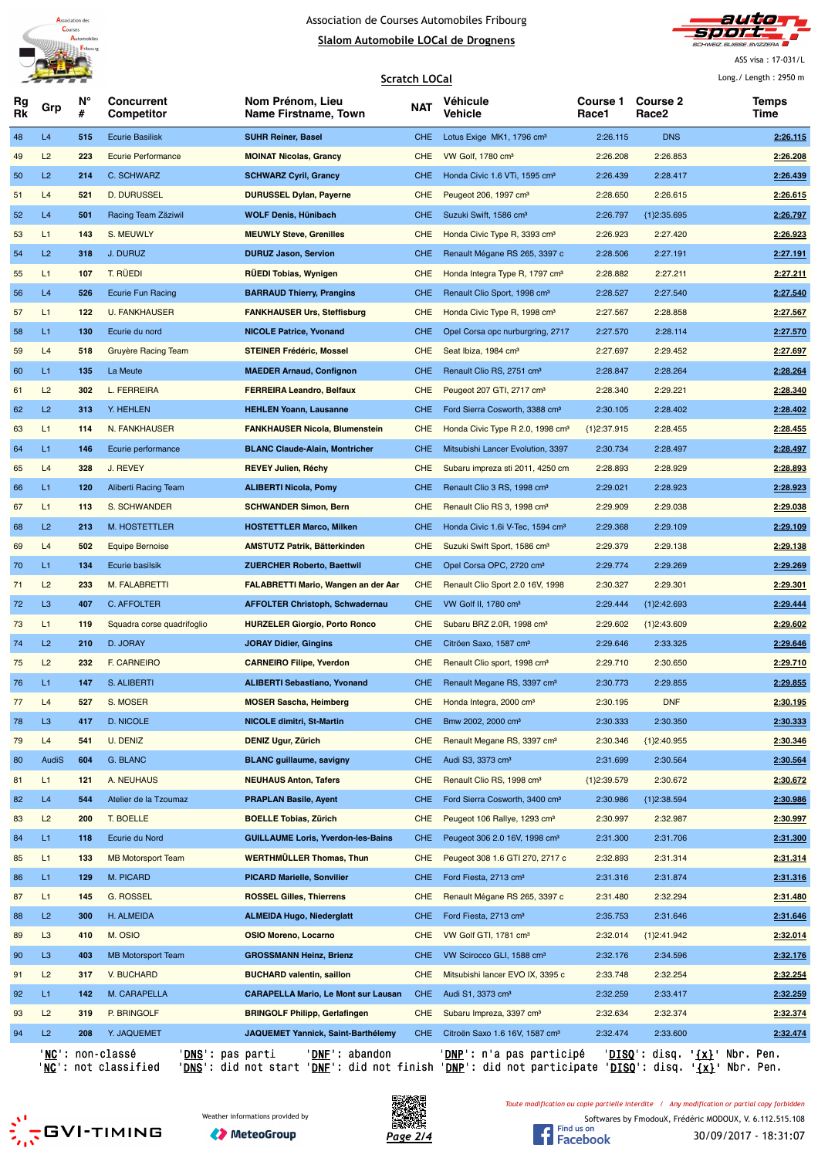



ASS visa : 17-031/L

Long./ Length : 2950 m

|          |                |         |                                 |                                            | Long./ Length: 2950 m |                                              |                          |                          |               |
|----------|----------------|---------|---------------------------------|--------------------------------------------|-----------------------|----------------------------------------------|--------------------------|--------------------------|---------------|
| Rg<br>Rk | Grp            | N°<br># | <b>Concurrent</b><br>Competitor | Nom Prénom, Lieu<br>Name Firstname, Town   | <b>NAT</b>            | <b>Véhicule</b><br>Vehicle                   | <b>Course 1</b><br>Race1 | <b>Course 2</b><br>Race2 | Temps<br>Time |
| 48       | L4             | 515     | <b>Ecurie Basilisk</b>          | <b>SUHR Reiner, Basel</b>                  | CHE.                  | Lotus Exige MK1, 1796 cm <sup>3</sup>        | 2:26.115                 | <b>DNS</b>               | 2:26.115      |
| 49       | L2             | 223     | <b>Ecurie Performance</b>       | <b>MOINAT Nicolas, Grancy</b>              | <b>CHE</b>            | VW Golf, 1780 cm <sup>3</sup>                | 2:26.208                 | 2:26.853                 | 2:26.208      |
| 50       | L2             | 214     | C. SCHWARZ                      | <b>SCHWARZ Cyril, Grancy</b>               | CHE.                  | Honda Civic 1.6 VTi, 1595 cm <sup>3</sup>    | 2:26.439                 | 2:28.417                 | 2:26.439      |
| 51       | L4             | 521     | D. DURUSSEL                     | <b>DURUSSEL Dylan, Payerne</b>             | <b>CHE</b>            | Peugeot 206, 1997 cm <sup>3</sup>            | 2:28.650                 | 2:26.615                 | 2:26.615      |
| 52       | L4             | 501     | Racing Team Zäziwil             | WOLF Denis, Hünibach                       | CHE.                  | Suzuki Swift, 1586 cm <sup>3</sup>           | 2:26.797                 | ${1}2:35.695$            | 2:26.797      |
| 53       | L1             | 143     | S. MEUWLY                       | <b>MEUWLY Steve, Grenilles</b>             | <b>CHE</b>            | Honda Civic Type R, 3393 cm <sup>3</sup>     | 2:26.923                 | 2:27.420                 | 2:26.923      |
| 54       | L2             | 318     | J. DURUZ                        | <b>DURUZ Jason, Servion</b>                | CHE.                  | Renault Mégane RS 265, 3397 c                | 2:28.506                 | 2:27.191                 | 2:27.191      |
| 55       | L1             | 107     | T. RÜEDI                        | <b>RUEDI Tobias, Wynigen</b>               | <b>CHE</b>            | Honda Integra Type R, 1797 cm <sup>3</sup>   | 2:28.882                 | 2:27.211                 | 2:27.211      |
| 56       | L4             | 526     | <b>Ecurie Fun Racing</b>        | <b>BARRAUD Thierry, Prangins</b>           | <b>CHE</b>            | Renault Clio Sport, 1998 cm <sup>3</sup>     | 2:28.527                 | 2:27.540                 | 2:27.540      |
| 57       | L1             | 122     | <b>U. FANKHAUSER</b>            | <b>FANKHAUSER Urs, Steffisburg</b>         | <b>CHE</b>            | Honda Civic Type R, 1998 cm <sup>3</sup>     | 2:27.567                 | 2:28.858                 | 2:27.567      |
| 58       | L1             | 130     | Ecurie du nord                  | <b>NICOLE Patrice, Yvonand</b>             | <b>CHE</b>            | Opel Corsa opc nurburgring, 2717             | 2:27.570                 | 2:28.114                 | 2:27.570      |
| 59       | L4             | 518     | Gruyère Racing Team             | <b>STEINER Frédéric, Mossel</b>            | <b>CHE</b>            | Seat Ibiza, 1984 cm <sup>3</sup>             | 2:27.697                 | 2:29.452                 | 2:27.697      |
| 60       | L1             | 135     | La Meute                        | <b>MAEDER Arnaud, Confignon</b>            | <b>CHE</b>            | Renault Clio RS, 2751 cm <sup>3</sup>        | 2:28.847                 | 2:28.264                 | 2:28.264      |
| 61       | L2             | 302     | <b>L. FERREIRA</b>              | <b>FERREIRA Leandro, Belfaux</b>           | <b>CHE</b>            | Peugeot 207 GTI, 2717 cm <sup>3</sup>        | 2:28.340                 | 2:29.221                 | 2:28.340      |
| 62       | L2             | 313     | Y. HEHLEN                       | <b>HEHLEN Yoann, Lausanne</b>              | <b>CHE</b>            | Ford Sierra Cosworth, 3388 cm <sup>3</sup>   | 2:30.105                 | 2:28.402                 | 2:28.402      |
| 63       | L1             | 114     | N. FANKHAUSER                   | <b>FANKHAUSER Nicola, Blumenstein</b>      | <b>CHE</b>            | Honda Civic Type R 2.0, 1998 cm <sup>3</sup> | ${1}2:37.915$            | 2:28.455                 | 2:28.455      |
| 64       | L1             | 146     | Ecurie performance              | <b>BLANC Claude-Alain, Montricher</b>      | <b>CHE</b>            | Mitsubishi Lancer Evolution, 3397            | 2:30.734                 | 2:28.497                 | 2:28.497      |
| 65       | L4             | 328     | J. REVEY                        | <b>REVEY Julien, Réchy</b>                 | <b>CHE</b>            | Subaru impreza sti 2011, 4250 cm             | 2:28.893                 | 2:28.929                 | 2:28.893      |
| 66       | L1             | 120     | Aliberti Racing Team            | <b>ALIBERTI Nicola, Pomy</b>               | CHE.                  | Renault Clio 3 RS, 1998 cm <sup>3</sup>      | 2:29.021                 | 2:28.923                 | 2:28.923      |
| 67       | L1             | 113     | S. SCHWANDER                    | <b>SCHWANDER Simon, Bern</b>               | <b>CHE</b>            | Renault Clio RS 3, 1998 cm <sup>3</sup>      | 2:29.909                 | 2:29.038                 | 2:29.038      |
| 68       | L2             | 213     | M. HOSTETTLER                   | <b>HOSTETTLER Marco, Milken</b>            | <b>CHE</b>            | Honda Civic 1.6 V-Tec, 1594 cm <sup>3</sup>  | 2:29.368                 | 2:29.109                 | 2:29.109      |
| 69       | L4             | 502     | <b>Equipe Bernoise</b>          | <b>AMSTUTZ Patrik, Bätterkinden</b>        | <b>CHE</b>            | Suzuki Swift Sport, 1586 cm <sup>3</sup>     | 2:29.379                 | 2:29.138                 | 2:29.138      |
| 70       | L1             | 134     | Ecurie basilsik                 | <b>ZUERCHER Roberto, Baettwil</b>          | <b>CHE</b>            | Opel Corsa OPC, 2720 cm <sup>3</sup>         | 2:29.774                 | 2:29.269                 | 2:29.269      |
| $71$     | L2             | 233     | M. FALABRETTI                   | <b>FALABRETTI Mario, Wangen an der Aar</b> | <b>CHE</b>            | Renault Clio Sport 2.0 16V, 1998             | 2:30.327                 | 2:29.301                 | 2:29.301      |
| 72       | L <sub>3</sub> | 407     | <b>C. AFFOLTER</b>              | <b>AFFOLTER Christoph, Schwadernau</b>     | <b>CHE</b>            | VW Golf II, 1780 cm <sup>3</sup>             | 2:29.444                 | ${1}2:42.693$            | 2:29.444      |
| 73       | L1             | 119     | Squadra corse quadrifoglio      | <b>HURZELER Giorgio, Porto Ronco</b>       | <b>CHE</b>            | Subaru BRZ 2.0R, 1998 cm <sup>3</sup>        | 2:29.602                 | ${1}2:43.609$            | 2:29.602      |
| 74       | L2             | 210     | D. JORAY                        | <b>JORAY Didier, Gingins</b>               | CHE.                  | Citröen Saxo, 1587 cm <sup>3</sup>           | 2:29.646                 | 2:33.325                 | 2:29.646      |
| 75       | L2             | 232     | F. CARNEIRO                     | <b>CARNEIRO Filipe, Yverdon</b>            | <b>CHE</b>            | Renault Clio sport, 1998 cm <sup>3</sup>     | 2:29.710                 | 2:30.650                 | 2:29.710      |
| 76       | L1             | 147     | S. ALIBERTI                     | <b>ALIBERTI Sebastiano, Yvonand</b>        | CHE.                  | Renault Megane RS, 3397 cm <sup>3</sup>      | 2:30.773                 | 2:29.855                 | 2:29.855      |
| 77       | L4             | 527     | S. MOSER                        | <b>MOSER Sascha, Heimberg</b>              | <b>CHE</b>            | Honda Integra, 2000 cm <sup>3</sup>          | 2:30.195                 | <b>DNF</b>               | 2:30.195      |
| 78       | L <sub>3</sub> | 417     | <b>D. NICOLE</b>                | <b>NICOLE dimitri, St-Martin</b>           | <b>CHE</b>            | Bmw 2002, 2000 cm <sup>3</sup>               | 2:30.333                 | 2:30.350                 | 2:30.333      |
| 79       | L4             | 541     | U. DENIZ                        | <b>DENIZ Ugur, Zürich</b>                  | <b>CHE</b>            | Renault Megane RS, 3397 cm <sup>3</sup>      | 2:30.346                 | ${1}2:40.955$            | 2:30.346      |
| 80       | AudiS          | 604     | G. BLANC                        | <b>BLANC</b> guillaume, savigny            | <b>CHE</b>            | Audi S3, 3373 cm <sup>3</sup>                | 2:31.699                 | 2:30.564                 | 2:30.564      |
| 81       | L1             | 121     | A. NEUHAUS                      | <b>NEUHAUS Anton, Tafers</b>               | <b>CHE</b>            | Renault Clio RS, 1998 cm <sup>3</sup>        | ${1}2:39.579$            | 2:30.672                 | 2:30.672      |
| 82       | L4             | 544     | Atelier de la Tzoumaz           | <b>PRAPLAN Basile, Ayent</b>               | <b>CHE</b>            | Ford Sierra Cosworth, 3400 cm <sup>3</sup>   | 2:30.986                 | ${1}2:38.594$            | 2:30.986      |
| 83       | L2             | 200     | T. BOELLE                       | <b>BOELLE Tobias, Zürich</b>               | <b>CHE</b>            | Peugeot 106 Rallye, 1293 cm <sup>3</sup>     | 2:30.997                 | 2:32.987                 | 2:30.997      |
| 84       | L1             | 118     | Ecurie du Nord                  | <b>GUILLAUME Loris, Yverdon-les-Bains</b>  | <b>CHE</b>            | Peugeot 306 2.0 16V, 1998 cm <sup>3</sup>    | 2:31.300                 | 2:31.706                 | 2:31.300      |
| 85       | L1             | 133     | <b>MB Motorsport Team</b>       | <b>WERTHMÜLLER Thomas, Thun</b>            | <b>CHE</b>            | Peugeot 308 1.6 GTI 270, 2717 c              | 2:32.893                 | 2:31.314                 | 2:31.314      |
| 86       | L1             | 129     | M. PICARD                       | <b>PICARD Marielle, Sonvilier</b>          | <b>CHE</b>            | Ford Fiesta, 2713 cm <sup>3</sup>            | 2:31.316                 | 2:31.874                 | 2:31.316      |
| 87       | L1             | 145     | G. ROSSEL                       | <b>ROSSEL Gilles, Thierrens</b>            | <b>CHE</b>            | Renault Mégane RS 265, 3397 c                | 2:31.480                 | 2:32.294                 | 2:31.480      |
| 88       | L2             | 300     | H. ALMEIDA                      | <b>ALMEIDA Hugo, Niederglatt</b>           | <b>CHE</b>            | Ford Fiesta, 2713 cm <sup>3</sup>            | 2:35.753                 | 2:31.646                 | 2:31.646      |
| 89       | L <sub>3</sub> | 410     | M. OSIO                         | OSIO Moreno, Locarno                       | <b>CHE</b>            | VW Golf GTI, 1781 cm <sup>3</sup>            | 2:32.014                 | ${1}2:41.942$            | 2:32.014      |
| 90       | L <sub>3</sub> | 403     | <b>MB Motorsport Team</b>       | <b>GROSSMANN Heinz, Brienz</b>             | <b>CHE</b>            | VW Scirocco GLI, 1588 cm <sup>3</sup>        | 2:32.176                 | 2:34.596                 | 2:32.176      |
| 91       | L2             | 317     | V. BUCHARD                      | <b>BUCHARD valentin, saillon</b>           | <b>CHE</b>            | Mitsubishi lancer EVO IX, 3395 c             | 2:33.748                 | 2:32.254                 | 2:32.254      |
| 92       | L1             | 142     | M. CARAPELLA                    | <b>CARAPELLA Mario, Le Mont sur Lausan</b> | <b>CHE</b>            | Audi S1, 3373 cm <sup>3</sup>                | 2:32.259                 | 2:33.417                 | 2:32.259      |
| 93       | L2             | 319     | P. BRINGOLF                     | <b>BRINGOLF Philipp, Gerlafingen</b>       | <b>CHE</b>            | Subaru Impreza, 3397 cm <sup>3</sup>         | 2:32.634                 | 2:32.374                 | 2:32.374      |
| 94       | L2             | 208     | Y. JAQUEMET                     | JAQUEMET Yannick, Saint-Barthélemy         | <b>CHE</b>            | Citroën Saxo 1.6 16V, 1587 cm <sup>3</sup>   | 2:32.474                 | 2:33.600                 | 2:32.474      |
|          |                |         |                                 |                                            |                       |                                              |                          |                          |               |

'<u>NC</u>': non-classé '<u>DNS</u>': pas parti '<u>DNF</u>': abandon '<u>DNP</u>': n'a pas participé '<u>DISQ</u>': disq. '<u>{x}</u>' Nbr. Pen. 'NC': not classified 'DNS': did not start 'DNF': did not finish 'DNP': did not participate 'DISQ': disq. '{x}' Nbr. Pen.

S GVI-TIMING





*Toute modification ou copie partielle interdite / Any modification or partial copy forbidden*

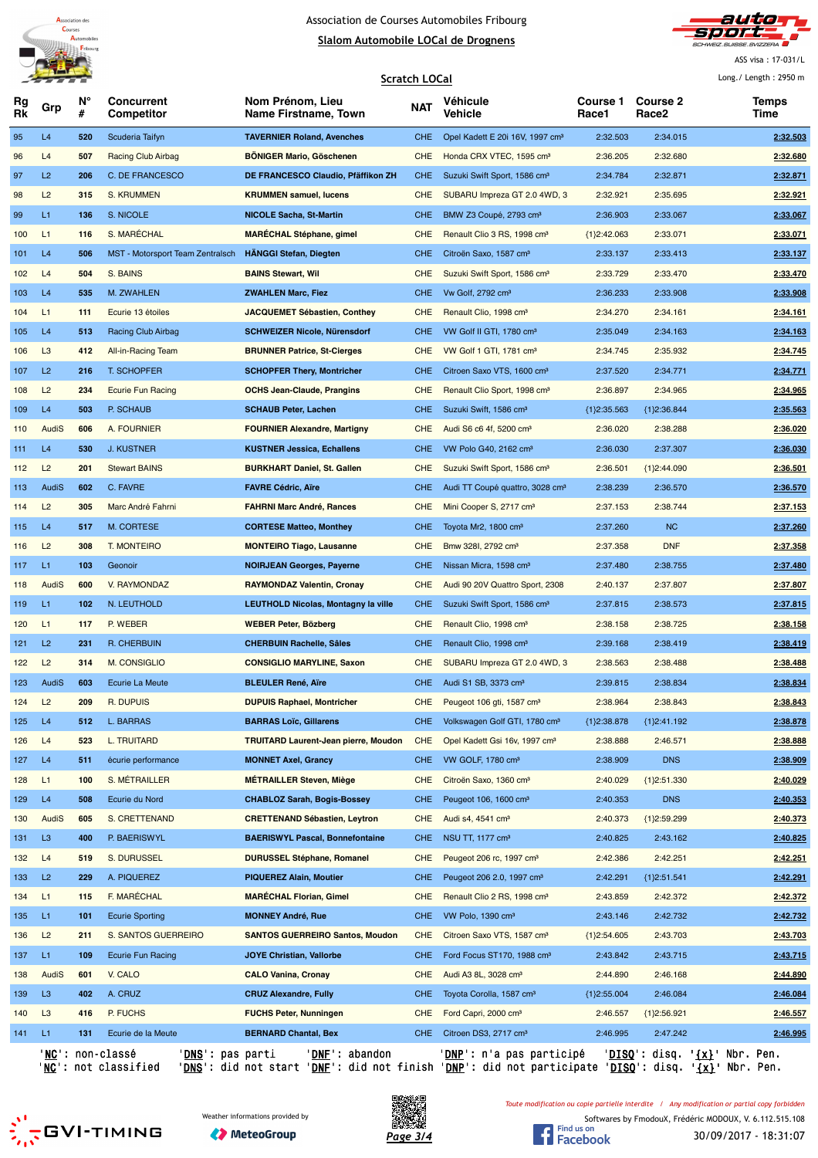



ASS visa : 17-031/L

|          |                |         |                                  |                                             | <b>Scratch LOCal</b> |                                             |                   |                                      | Long./ Length: 2950 m |
|----------|----------------|---------|----------------------------------|---------------------------------------------|----------------------|---------------------------------------------|-------------------|--------------------------------------|-----------------------|
| Rg<br>Rk | Grp            | N°<br># | <b>Concurrent</b><br>Competitor  | Nom Prénom, Lieu<br>Name Firstname, Town    | NAT                  | Véhicule<br>Vehicle                         | Course 1<br>Race1 | <b>Course 2</b><br>Race <sub>2</sub> | Temps<br>Time         |
| 95       | L4             | 520     | Scuderia Taifyn                  | <b>TAVERNIER Roland, Avenches</b>           | <b>CHE</b>           | Opel Kadett E 20i 16V, 1997 cm <sup>3</sup> | 2:32.503          | 2:34.015                             | 2:32.503              |
| 96       | L4             | 507     | <b>Racing Club Airbag</b>        | <b>BONIGER Mario, Göschenen</b>             | <b>CHE</b>           | Honda CRX VTEC, 1595 cm <sup>3</sup>        | 2:36.205          | 2:32.680                             | 2:32.680              |
| 97       | L <sub>2</sub> | 206     | C. DE FRANCESCO                  | DE FRANCESCO Claudio, Pfäffikon ZH          | <b>CHE</b>           | Suzuki Swift Sport, 1586 cm <sup>3</sup>    | 2:34.784          | 2:32.871                             | 2:32.871              |
| 98       | L2             | 315     | S. KRUMMEN                       | <b>KRUMMEN samuel, lucens</b>               | <b>CHE</b>           | SUBARU Impreza GT 2.0 4WD, 3                | 2:32.921          | 2:35.695                             | 2:32.921              |
| 99       | L1.            | 136     | S. NICOLE                        | <b>NICOLE Sacha, St-Martin</b>              | <b>CHE</b>           | BMW Z3 Coupé, 2793 cm <sup>3</sup>          | 2:36.903          | 2:33.067                             | 2:33.067              |
| 100      | L1             | 116     | S. MARÉCHAL                      | <b>MARÉCHAL Stéphane, gimel</b>             | <b>CHE</b>           | Renault Clio 3 RS, 1998 cm <sup>3</sup>     | ${1}2:42.063$     | 2:33.071                             | 2:33.071              |
| 101      | L4             | 506     | MST - Motorsport Team Zentralsch | <b>HÄNGGI Stefan, Diegten</b>               | <b>CHE</b>           | Citroën Saxo, 1587 cm <sup>3</sup>          | 2:33.137          | 2:33.413                             | 2:33.137              |
| 102      | L4             | 504     | S. BAINS                         | <b>BAINS Stewart, Wil</b>                   | <b>CHE</b>           | Suzuki Swift Sport, 1586 cm <sup>3</sup>    | 2:33.729          | 2:33.470                             | 2:33.470              |
| 103      | L4             | 535     | M. ZWAHLEN                       | <b>ZWAHLEN Marc, Fiez</b>                   | CHE.                 | Vw Golf, 2792 cm <sup>3</sup>               | 2:36.233          | 2:33.908                             | 2:33.908              |
| 104      | L1             | 111     | Ecurie 13 étoiles                | <b>JACQUEMET Sébastien, Conthey</b>         | <b>CHE</b>           | Renault Clio, 1998 cm <sup>3</sup>          | 2:34.270          | 2:34.161                             | 2:34.161              |
| 105      | L4             | 513     | Racing Club Airbag               | <b>SCHWEIZER Nicole, Nürensdorf</b>         | <b>CHE</b>           | VW Golf II GTI, 1780 cm <sup>3</sup>        | 2:35.049          | 2:34.163                             | 2:34.163              |
| 106      | L <sub>3</sub> | 412     | All-in-Racing Team               | <b>BRUNNER Patrice, St-Cierges</b>          | <b>CHE</b>           | VW Golf 1 GTI, 1781 cm <sup>3</sup>         | 2:34.745          | 2:35.932                             | 2:34.745              |
| 107      | L <sub>2</sub> | 216     | T. SCHOPFER                      | <b>SCHOPFER Thery, Montricher</b>           | <b>CHE</b>           | Citroen Saxo VTS, 1600 cm <sup>3</sup>      | 2:37.520          | 2:34.771                             | 2:34.771              |
| 108      | L2             | 234     | <b>Ecurie Fun Racing</b>         | <b>OCHS Jean-Claude, Prangins</b>           | <b>CHE</b>           | Renault Clio Sport, 1998 cm <sup>3</sup>    | 2:36.897          | 2:34.965                             | 2:34.965              |
| 109      | L4             | 503     | P. SCHAUB                        | <b>SCHAUB Peter, Lachen</b>                 | <b>CHE</b>           | Suzuki Swift, 1586 cm <sup>3</sup>          | ${1}2:35.563$     | ${1}2:36.844$                        | 2:35.563              |
| 110      | AudiS          | 606     | A. FOURNIER                      | <b>FOURNIER Alexandre, Martigny</b>         | <b>CHE</b>           | Audi S6 c6 4f, 5200 cm <sup>3</sup>         | 2:36.020          | 2:38.288                             | 2:36.020              |
| 111      | L4             | 530     | <b>J. KUSTNER</b>                | <b>KUSTNER Jessica, Echallens</b>           | <b>CHE</b>           | VW Polo G40, 2162 cm <sup>3</sup>           | 2:36.030          | 2:37.307                             | 2:36.030              |
| 112      | L2             | 201     | <b>Stewart BAINS</b>             | <b>BURKHART Daniel, St. Gallen</b>          | <b>CHE</b>           | Suzuki Swift Sport, 1586 cm <sup>3</sup>    | 2:36.501          | ${1}2:44.090$                        | 2:36.501              |
| 113      | AudiS          | 602     | C. FAVRE                         | <b>FAVRE Cédric, Aïre</b>                   | <b>CHE</b>           | Audi TT Coupé quattro, 3028 cm <sup>3</sup> | 2:38.239          | 2:36.570                             | 2:36.570              |
| 114      | L2             | 305     | Marc André Fahrni                | <b>FAHRNI Marc André, Rances</b>            | <b>CHE</b>           | Mini Cooper S, 2717 cm <sup>3</sup>         | 2:37.153          | 2:38.744                             | 2:37.153              |
| 115      | L4             | 517     | M. CORTESE                       | <b>CORTESE Matteo, Monthey</b>              | <b>CHE</b>           | Toyota Mr2, 1800 cm <sup>3</sup>            | 2:37.260          | NC                                   | 2:37.260              |
| 116      | L2             | 308     | <b>T. MONTEIRO</b>               | <b>MONTEIRO Tiago, Lausanne</b>             | <b>CHE</b>           | Bmw 328I, 2792 cm <sup>3</sup>              | 2:37.358          | <b>DNF</b>                           | 2:37.358              |
| 117      | L1             | 103     | Geonoir                          | <b>NOIRJEAN Georges, Payerne</b>            | <b>CHE</b>           | Nissan Micra, 1598 cm <sup>3</sup>          | 2:37.480          | 2:38.755                             | 2:37.480              |
| 118      | AudiS          | 600     | V. RAYMONDAZ                     | <b>RAYMONDAZ Valentin, Cronay</b>           | <b>CHE</b>           | Audi 90 20V Quattro Sport, 2308             | 2:40.137          | 2:37.807                             | 2:37.807              |
| 119      | L1             | 102     | N. LEUTHOLD                      | <b>LEUTHOLD Nicolas, Montagny la ville</b>  | CHE.                 | Suzuki Swift Sport, 1586 cm <sup>3</sup>    | 2:37.815          | 2:38.573                             | 2:37.815              |
| 120      | L1             | 117     | P. WEBER                         | <b>WEBER Peter, Bözberg</b>                 | <b>CHE</b>           | Renault Clio, 1998 cm <sup>3</sup>          | 2:38.158          | 2:38.725                             | 2:38.158              |
| 121      | L2             | 231     | R. CHERBUIN                      | <b>CHERBUIN Rachelle, Sâles</b>             | <b>CHE</b>           | Renault Clio, 1998 cm <sup>3</sup>          | 2:39.168          | 2:38.419                             | 2:38.419              |
| 122      | L2             | 314     | M. CONSIGLIO                     | <b>CONSIGLIO MARYLINE, Saxon</b>            | <b>CHE</b>           | SUBARU Impreza GT 2.0 4WD, 3                | 2:38.563          | 2:38.488                             | 2:38.488              |
| 123      | AudiS          | 603     | Ecurie La Meute                  | <b>BLEULER René, Aïre</b>                   | CHE.                 | Audi S1 SB, 3373 cm <sup>3</sup>            | 2:39.815          | 2:38.834                             | 2:38.834              |
| 124      | L2             | 209     | R. DUPUIS                        | <b>DUPUIS Raphael, Montricher</b>           | <b>CHE</b>           | Peugeot 106 gti, 1587 cm <sup>3</sup>       | 2:38.964          | 2:38.843                             | 2:38.843              |
| 125      | L4             | 512     | L. BARRAS                        | <b>BARRAS Loïc, Gillarens</b>               | <b>CHE</b>           | Volkswagen Golf GTI, 1780 cm <sup>3</sup>   | {1}2:38.878       | ${1}2:41.192$                        | 2:38.878              |
| 126      | L4             | 523     | <b>L. TRUITARD</b>               | <b>TRUITARD Laurent-Jean pierre, Moudon</b> | CHE                  | Opel Kadett Gsi 16v, 1997 cm <sup>3</sup>   | 2:38.888          | 2:46.571                             | 2:38.888              |
| 127      | L4             | 511     | écurie performance               | <b>MONNET Axel, Grancy</b>                  | <b>CHE</b>           | VW GOLF, 1780 cm <sup>3</sup>               | 2:38.909          | <b>DNS</b>                           | 2:38.909              |
| 128      | L1             | 100     | S. MÉTRAILLER                    | <b>MÉTRAILLER Steven, Miège</b>             | <b>CHE</b>           | Citroën Saxo, 1360 cm <sup>3</sup>          | 2:40.029          | ${1}2:51.330$                        | 2:40.029              |
| 129      | L4             | 508     | Ecurie du Nord                   | <b>CHABLOZ Sarah, Bogis-Bossey</b>          | <b>CHE</b>           | Peugeot 106, 1600 cm <sup>3</sup>           | 2:40.353          | <b>DNS</b>                           | 2:40.353              |
| 130      | AudiS          | 605     | S. CRETTENAND                    | <b>CRETTENAND Sébastien, Leytron</b>        | <b>CHE</b>           | Audi s4, 4541 cm <sup>3</sup>               | 2:40.373          | ${1}2:59.299$                        | 2:40.373              |
| 131      | L <sub>3</sub> | 400     | P. BAERISWYL                     | <b>BAERISWYL Pascal, Bonnefontaine</b>      | <b>CHE</b>           | NSU TT, 1177 cm <sup>3</sup>                | 2:40.825          | 2:43.162                             | 2:40.825              |
| 132      | L4             | 519     | S. DURUSSEL                      | <b>DURUSSEL Stéphane, Romanel</b>           | <b>CHE</b>           | Peugeot 206 rc, 1997 cm <sup>3</sup>        | 2:42.386          | 2:42.251                             | 2:42.251              |
| 133      | L2             | 229     | A. PIQUEREZ                      | <b>PIQUEREZ Alain, Moutier</b>              | <b>CHE</b>           | Peugeot 206 2.0, 1997 cm <sup>3</sup>       | 2:42.291          | ${1}2:51.541$                        | 2:42.291              |
| 134      | L1             | 115     | F. MARÉCHAL                      | <b>MARÉCHAL Florian, Gimel</b>              | CHE                  | Renault Clio 2 RS, 1998 cm <sup>3</sup>     | 2:43.859          | 2:42.372                             | 2:42.372              |
| 135      | L1             | 101     | <b>Ecurie Sporting</b>           | <b>MONNEY André, Rue</b>                    | <b>CHE</b>           | VW Polo, 1390 cm <sup>3</sup>               | 2:43.146          | 2:42.732                             | 2:42.732              |
| 136      | L2             | 211     | S. SANTOS GUERREIRO              | <b>SANTOS GUERREIRO Santos, Moudon</b>      | <b>CHE</b>           | Citroen Saxo VTS, 1587 cm <sup>3</sup>      | ${1}2:54.605$     | 2:43.703                             | 2:43.703              |
| 137      | L1             | 109     | <b>Ecurie Fun Racing</b>         | JOYE Christian, Vallorbe                    | <b>CHE</b>           | Ford Focus ST170, 1988 cm <sup>3</sup>      | 2:43.842          | 2:43.715                             | 2:43.715              |
| 138      | AudiS          | 601     | V. CALO                          | <b>CALO Vanina, Cronay</b>                  | <b>CHE</b>           | Audi A3 8L, 3028 cm <sup>3</sup>            | 2:44.890          | 2:46.168                             | 2:44.890              |
| 139      | L <sub>3</sub> | 402     | A. CRUZ                          | <b>CRUZ Alexandre, Fully</b>                | <b>CHE</b>           | Toyota Corolla, 1587 cm <sup>3</sup>        | ${1}2:55.004$     | 2:46.084                             | 2:46.084              |
| 140      | L <sub>3</sub> | 416     | P. FUCHS                         | <b>FUCHS Peter, Nunningen</b>               | <b>CHE</b>           | Ford Capri, 2000 cm <sup>3</sup>            | 2:46.557          | ${1}2:56.921$                        | 2:46.557              |
| 141      | L1             | 131     | Ecurie de la Meute               | <b>BERNARD Chantal, Bex</b>                 | CHE.                 | Citroen DS3, 2717 cm <sup>3</sup>           | 2:46.995          | 2:47.242                             | 2:46.995              |
|          |                |         |                                  |                                             |                      |                                             |                   |                                      |                       |

'<u>NC</u>': non-classé '<u>DNS</u>': pas parti '<u>DNF</u>': abandon '<u>DNP</u>': n'a pas participé '<u>DISQ</u>': disq. '<u>{x}</u>' Nbr. Pen. 'NC': not classified 'DNS': did not start 'DNF': did not finish 'DNP': did not participate 'DISQ': disq. '{x}' Nbr. Pen.





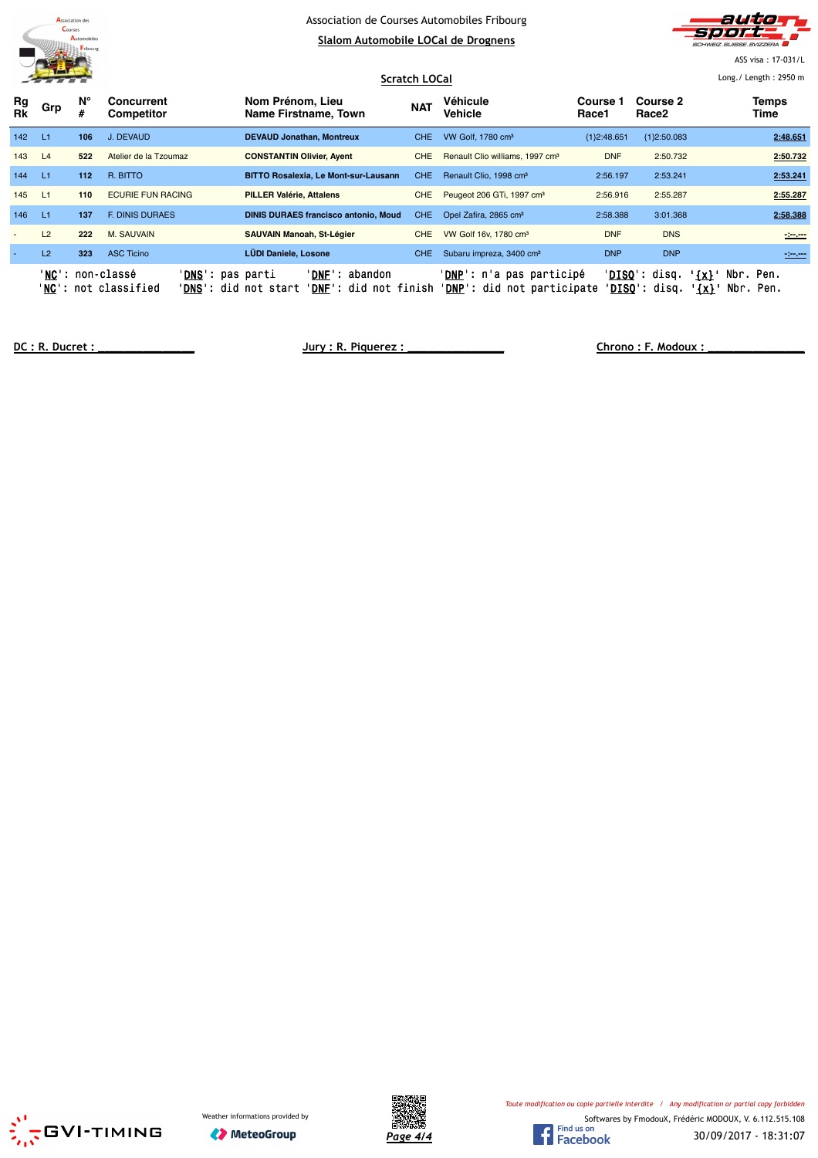



ASS visa : 17-031/L

|                          | <b>THE REAL</b><br><b>Scratch LOCal</b> |         |                                                                                |                                                                                            |            |                                                                          |                          |                                                 | Long./ Length: 2950 m                          |
|--------------------------|-----------------------------------------|---------|--------------------------------------------------------------------------------|--------------------------------------------------------------------------------------------|------------|--------------------------------------------------------------------------|--------------------------|-------------------------------------------------|------------------------------------------------|
| Rg<br><b>Rk</b>          | Grp                                     | N°<br># | Concurrent<br>Competitor                                                       | Nom Prénom, Lieu<br>Name Firstname, Town                                                   | <b>NAT</b> | Véhicule<br>Vehicle                                                      | <b>Course 1</b><br>Race1 | Course 2<br>Race2                               | Temps<br>Time                                  |
| 142                      | -L1                                     | 106     | J. DEVAUD                                                                      | <b>DEVAUD Jonathan, Montreux</b>                                                           | <b>CHE</b> | VW Golf, 1780 cm <sup>3</sup>                                            | ${1}2:48.651$            | ${1}2:50.083$                                   | 2:48.651                                       |
| 143                      | L4                                      | 522     | Atelier de la Tzoumaz                                                          | <b>CONSTANTIN Olivier, Ayent</b>                                                           | <b>CHE</b> | Renault Clio williams, 1997 cm <sup>3</sup>                              | <b>DNF</b>               | 2:50.732                                        | 2:50.732                                       |
| 144                      | - L1                                    | 112     | R. BITTO                                                                       | <b>BITTO Rosalexia, Le Mont-sur-Lausann</b>                                                | CHE.       | Renault Clio, 1998 cm <sup>3</sup>                                       | 2:56.197                 | 2:53.241                                        | 2:53.241                                       |
| 145                      | L1                                      | 110     | <b>ECURIE FUN RACING</b>                                                       | <b>PILLER Valérie, Attalens</b>                                                            | <b>CHE</b> | Peugeot 206 GTi, 1997 cm <sup>3</sup>                                    | 2:56.916                 | 2:55.287                                        | 2:55.287                                       |
| 146                      | L1                                      | 137     | <b>F. DINIS DURAES</b>                                                         | <b>DINIS DURAES francisco antonio, Moud</b>                                                | CHE.       | Opel Zafira, 2865 cm <sup>3</sup>                                        | 2:58.388                 | 3:01.368                                        | 2:58.388                                       |
| $\overline{\phantom{a}}$ | L2                                      | 222     | <b>M. SAUVAIN</b>                                                              | <b>SAUVAIN Manoah, St-Légier</b>                                                           | <b>CHE</b> | VW Golf 16v, 1780 cm <sup>3</sup>                                        | <b>DNF</b>               | <b>DNS</b>                                      | $-200$                                         |
|                          | L2                                      | 323     | <b>ASC Ticino</b>                                                              | <b>LÜDI Daniele, Losone</b>                                                                | <b>CHE</b> | Subaru impreza, 3400 cm <sup>3</sup>                                     | <b>DNP</b>               | <b>DNP</b>                                      | $-200$                                         |
|                          |                                         |         | 'NC': non-classé<br>' <b>DNS</b> ': pas parti<br>' <b>NC</b> ': not classified | ' <b>DNF</b> ': abandon<br>' <b>DNS</b> ': did not start<br>' <b>DNF</b> ': did not finish |            | ' <b>DNP</b> ': n'a pas participé<br>' <b>DNP</b> ': did not participate |                          | ' <b>DISO':</b> disq.<br>' <b>DISO</b> ': disq. | Nbr. Pen.<br>$'$ {x} $'$<br>Nbr. Pen.<br>'{x}' |

**DC : R. Ducret : \_\_\_\_\_\_\_\_\_\_\_\_\_\_\_ Jury : R. Piquerez : \_\_\_\_\_\_\_\_\_\_\_\_\_\_\_ Chrono : F. Modoux : \_\_\_\_\_\_\_\_\_\_\_\_\_\_\_**



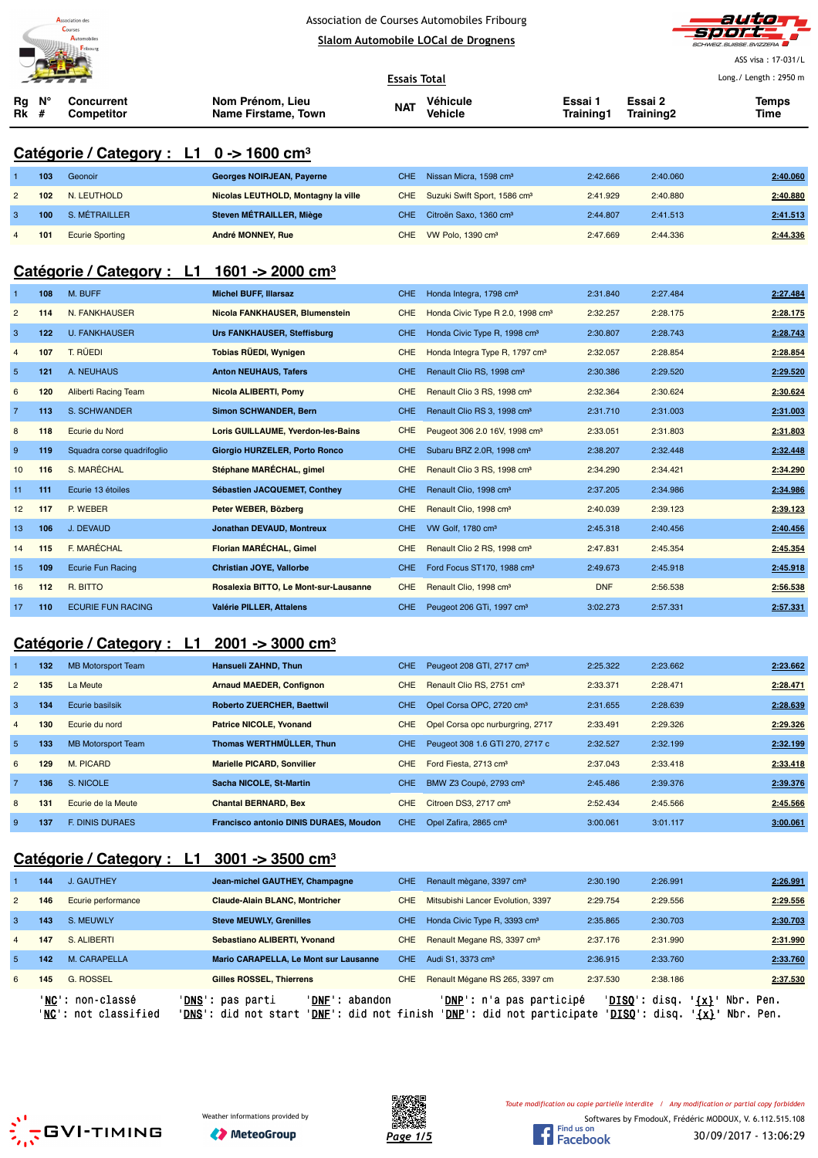



ASS visa : 17-031/L Long./ Length : 2950 m

|                   |     |                                                                |                                         | <b>Essais Total</b> |                                              |                      |                      |               |  |  |
|-------------------|-----|----------------------------------------------------------------|-----------------------------------------|---------------------|----------------------------------------------|----------------------|----------------------|---------------|--|--|
| Rg<br><b>Rk</b> # | N°  | Concurrent<br>Competitor                                       | Nom Prénom, Lieu<br>Name Firstame, Town | <b>NAT</b>          | Véhicule<br><b>Vehicle</b>                   | Essai 1<br>Training1 | Essai 2<br>Training2 | Temps<br>Time |  |  |
|                   |     | Catégorie / Category : L1 $0 \rightarrow 1600$ cm <sup>3</sup> |                                         |                     |                                              |                      |                      |               |  |  |
| $\mathbf{1}$      | 103 | Geonoir                                                        | <b>Georges NOIRJEAN, Payerne</b>        | <b>CHE</b>          | Nissan Micra, 1598 cm <sup>3</sup>           | 2:42.666             | 2:40.060             | 2:40.060      |  |  |
| $\overline{2}$    | 102 | <b>N. LEUTHOLD</b>                                             | Nicolas LEUTHOLD, Montagny la ville     | CHE.                | Suzuki Swift Sport, 1586 cm <sup>3</sup>     | 2:41.929             | 2:40.880             | 2:40.880      |  |  |
| 3                 | 100 | S. MÉTRAILLER                                                  | Steven MÉTRAILLER, Miège                | CHE.                | Citroën Saxo, 1360 cm <sup>3</sup>           | 2:44.807             | 2:41.513             | 2:41.513      |  |  |
| 4                 | 101 | <b>Ecurie Sporting</b>                                         | André MONNEY, Rue                       | <b>CHE</b>          | VW Polo, 1390 cm <sup>3</sup>                | 2:47.669             | 2:44.336             | 2:44.336      |  |  |
|                   |     | Catégorie / Category : L1 1601 -> 2000 cm <sup>3</sup>         |                                         |                     |                                              |                      |                      |               |  |  |
| $\mathbf{1}$      | 108 | M. BUFF                                                        | <b>Michel BUFF, Illarsaz</b>            | <b>CHE</b>          | Honda Integra, 1798 cm <sup>3</sup>          | 2:31.840             | 2:27.484             | 2:27.484      |  |  |
| $\overline{2}$    | 114 | N. FANKHAUSER                                                  | Nicola FANKHAUSER, Blumenstein          | <b>CHE</b>          | Honda Civic Type R 2.0, 1998 cm <sup>3</sup> | 2:32.257             | 2:28.175             | 2:28.175      |  |  |
| 3                 | 122 | <b>U. FANKHAUSER</b>                                           | <b>Urs FANKHAUSER, Steffisburg</b>      | <b>CHE</b>          | Honda Civic Type R, 1998 cm <sup>3</sup>     | 2:30.807             | 2:28.743             | 2:28.743      |  |  |
| $\overline{4}$    | 107 | T. RÜEDI                                                       | Tobias RÜEDI, Wynigen                   | <b>CHE</b>          | Honda Integra Type R, 1797 cm <sup>3</sup>   | 2:32.057             | 2:28.854             | 2:28.854      |  |  |
| $\sqrt{5}$        | 121 | A. NEUHAUS                                                     | <b>Anton NEUHAUS, Tafers</b>            | CHE.                | Renault Clio RS, 1998 cm <sup>3</sup>        | 2:30.386             | 2:29.520             | 2:29.520      |  |  |
| 6                 | 120 | <b>Aliberti Racing Team</b>                                    | Nicola ALIBERTI, Pomy                   | <b>CHE</b>          | Renault Clio 3 RS, 1998 cm <sup>3</sup>      | 2:32.364             | 2:30.624             | 2:30.624      |  |  |
| $\overline{7}$    | 113 | S. SCHWANDER                                                   | Simon SCHWANDER, Bern                   | CHE.                | Renault Clio RS 3, 1998 cm <sup>3</sup>      | 2:31.710             | 2:31.003             | 2:31.003      |  |  |
| 8                 | 118 | Ecurie du Nord                                                 | Loris GUILLAUME, Yverdon-les-Bains      | <b>CHE</b>          | Peugeot 306 2.0 16V, 1998 cm <sup>3</sup>    | 2:33.051             | 2:31.803             | 2:31.803      |  |  |
| $\boldsymbol{9}$  | 119 | Squadra corse quadrifoglio                                     | Giorgio HURZELER, Porto Ronco           | <b>CHE</b>          | Subaru BRZ 2.0R, 1998 cm <sup>3</sup>        | 2:38.207             | 2:32.448             | 2:32.448      |  |  |
| 10                | 116 | S. MARÉCHAL                                                    | Stéphane MARÉCHAL, gimel                | <b>CHE</b>          | Renault Clio 3 RS, 1998 cm <sup>3</sup>      | 2:34.290             | 2:34.421             | 2:34.290      |  |  |
| 11                | 111 | Ecurie 13 étoiles                                              | Sébastien JACQUEMET, Conthey            | <b>CHE</b>          | Renault Clio, 1998 cm <sup>3</sup>           | 2:37.205             | 2:34.986             | 2:34.986      |  |  |
| 12                | 117 | P. WEBER                                                       | Peter WEBER, Bözberg                    | <b>CHE</b>          | Renault Clio, 1998 cm <sup>3</sup>           | 2:40.039             | 2:39.123             | 2:39.123      |  |  |
| 13                | 106 | J. DEVAUD                                                      | Jonathan DEVAUD, Montreux               | <b>CHE</b>          | VW Golf, 1780 cm <sup>3</sup>                | 2:45.318             | 2:40.456             | 2:40.456      |  |  |
| 14                | 115 | F. MARÉCHAL                                                    | Florian MARÉCHAL, Gimel                 | <b>CHE</b>          | Renault Clio 2 RS, 1998 cm <sup>3</sup>      | 2:47.831             | 2:45.354             | 2:45.354      |  |  |
| 15                | 109 | <b>Ecurie Fun Racing</b>                                       | Christian JOYE, Vallorbe                | CHE.                | Ford Focus ST170, 1988 cm <sup>3</sup>       | 2:49.673             | 2:45.918             | 2:45.918      |  |  |
| 16                | 112 | R. BITTO                                                       | Rosalexia BITTO, Le Mont-sur-Lausanne   | <b>CHE</b>          | Renault Clio, 1998 cm <sup>3</sup>           | <b>DNF</b>           | 2:56.538             | 2:56.538      |  |  |
| 17                | 110 | <b>ECURIE FUN RACING</b>                                       | Valérie PILLER, Attalens                | CHE.                | Peugeot 206 GTi, 1997 cm <sup>3</sup>        | 3:02.273             | 2:57.331             | 2:57.331      |  |  |
|                   |     | Catégorie / Category :<br>$\mathbf{11}$                        | $2001 - 3000$ cm <sup>3</sup>           |                     |                                              |                      |                      |               |  |  |

#### **Catégorie / Category : L1 2001 -> 3000 cm³**

|                | 132 | <b>MB Motorsport Team</b> | <b>Hansueli ZAHND, Thun</b>                   | CHE.       | Peugeot 208 GTI, 2717 cm <sup>3</sup> | 2:25.322 | 2:23.662 | 2:23.662 |
|----------------|-----|---------------------------|-----------------------------------------------|------------|---------------------------------------|----------|----------|----------|
| $\overline{2}$ | 135 | La Meute                  | <b>Arnaud MAEDER, Confignon</b>               | CHE.       | Renault Clio RS, 2751 cm <sup>3</sup> | 2:33.371 | 2:28.471 | 2:28.471 |
| 3              | 134 | Ecurie basilsik           | <b>Roberto ZUERCHER, Baettwil</b>             | CHE.       | Opel Corsa OPC, 2720 cm <sup>3</sup>  | 2:31.655 | 2:28.639 | 2:28.639 |
| $\overline{4}$ | 130 | Ecurie du nord            | <b>Patrice NICOLE, Yvonand</b>                | <b>CHE</b> | Opel Corsa opc nurburgring, 2717      | 2:33.491 | 2:29.326 | 2:29.326 |
| 5              | 133 | <b>MB Motorsport Team</b> | Thomas WERTHMÜLLER, Thun                      | CHE.       | Peugeot 308 1.6 GTI 270, 2717 c       | 2:32.527 | 2:32.199 | 2:32.199 |
| 6              | 129 | M. PICARD                 | <b>Marielle PICARD, Sonvilier</b>             | CHE.       | Ford Fiesta, 2713 cm <sup>3</sup>     | 2:37.043 | 2:33.418 | 2:33.418 |
|                | 136 | S. NICOLE                 | Sacha NICOLE, St-Martin                       | CHE.       | BMW Z3 Coupé, 2793 cm <sup>3</sup>    | 2:45.486 | 2:39.376 | 2:39.376 |
| 8              | 131 | Ecurie de la Meute        | <b>Chantal BERNARD, Bex</b>                   | CHE.       | Citroen DS3, 2717 cm <sup>3</sup>     | 2:52.434 | 2:45.566 | 2:45.566 |
| 9              | 137 | <b>E. DINIS DURAES</b>    | <b>Francisco antonio DINIS DURAES, Moudon</b> | CHE.       | Opel Zafira, 2865 cm <sup>3</sup>     | 3:00.061 | 3:01.117 | 3:00.061 |

# **Catégorie / Category : L1 3001 -> 3500 cm³**

|                | 144 | <b>J. GAUTHEY</b>                        | Jean-michel GAUTHEY, Champagne                                                                           | CHE. | Renault mègane, 3397 cm <sup>3</sup>                                     | 2:30.190                                         | 2:26.991                                         | 2:26.991 |
|----------------|-----|------------------------------------------|----------------------------------------------------------------------------------------------------------|------|--------------------------------------------------------------------------|--------------------------------------------------|--------------------------------------------------|----------|
| $\overline{2}$ | 146 | Ecurie performance                       | <b>Claude-Alain BLANC. Montricher</b>                                                                    | CHE  | Mitsubishi Lancer Evolution, 3397                                        | 2:29.754                                         | 2:29.556                                         | 2:29.556 |
| 3              | 143 | S. MEUWLY                                | <b>Steve MEUWLY, Grenilles</b>                                                                           | CHE. | Honda Civic Type R, 3393 cm <sup>3</sup>                                 | 2:35.865                                         | 2:30.703                                         | 2:30.703 |
| $\overline{4}$ | 147 | S. ALIBERTI                              | Sebastiano ALIBERTI, Yvonand                                                                             | CHE. | Renault Megane RS, 3397 cm <sup>3</sup>                                  | 2:37.176                                         | 2:31.990                                         | 2:31.990 |
| 5.             | 142 | M. CARAPELLA                             | Mario CARAPELLA, Le Mont sur Lausanne                                                                    | CHE. | Audi S1, 3373 cm <sup>3</sup>                                            | 2:36.915                                         | 2:33.760                                         | 2:33.760 |
| 6              | 145 | <b>G. ROSSEL</b>                         | <b>Gilles ROSSEL. Thierrens</b>                                                                          | CHE. | Renault Mégane RS 265, 3397 cm                                           | 2:37.530                                         | 2:38.186                                         | 2:37.530 |
|                |     | 'NC': non-classé<br>'NC': not classified | 'DNS': pas parti<br>'DNF':<br>abandon<br>' <b>DNF</b> ': did not finish<br>' <b>DNS</b> ': did not start |      | ' <b>DNP</b> ': n'a pas participé<br>' <b>DNP</b> ': did not participate | ' <b>DISO</b> ': disq.<br>' <b>DISO</b> ': disq. | Nbr. Pen.<br>$\{x\}$<br>$'$ {x} $'$<br>Nbr. Pen. |          |





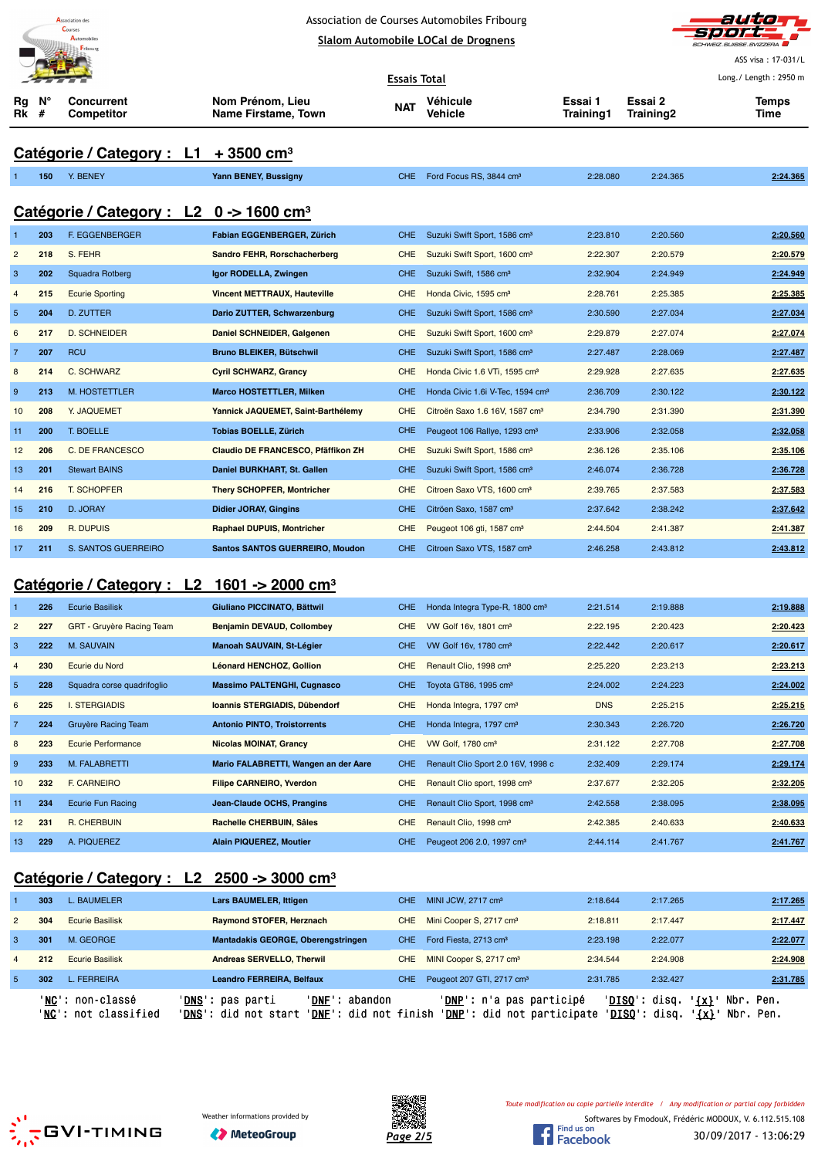|                           |     | <b>Association</b> des<br>Courses<br><b>Automobiles</b> | Association de Courses Automobiles Fribourg<br>Slalom Automobile LOCal de Drognens |            | auto<br>SCHWEIZ.SUISSE.SVIZZERA<br>ASS visa: 17-031/L |                             |                      |                       |
|---------------------------|-----|---------------------------------------------------------|------------------------------------------------------------------------------------|------------|-------------------------------------------------------|-----------------------------|----------------------|-----------------------|
|                           |     |                                                         | <b>Essais Total</b>                                                                |            |                                                       |                             |                      | Long./ Length: 2950 m |
| Rg<br><b>Rk</b> #         | N°  | <b>Concurrent</b><br>Competitor                         | Nom Prénom, Lieu<br>Name Firstame, Town                                            | <b>NAT</b> | Véhicule<br>Vehicle                                   | Essai 1<br><b>Training1</b> | Essai 2<br>Training2 | <b>Temps</b><br>Time  |
|                           |     | Catégorie / Category : L1                               | $+3500$ cm <sup>3</sup>                                                            |            |                                                       |                             |                      |                       |
|                           | 150 | Y. BENEY                                                | Yann BENEY, Bussigny                                                               | CHE.       | Ford Focus RS, 3844 cm <sup>3</sup>                   | 2:28.080                    | 2:24.365             | 2:24.365              |
|                           |     | Catégorie / Category : L2 0 -> 1600 cm <sup>3</sup>     |                                                                                    |            |                                                       |                             |                      |                       |
| $\mathbf{1}$              | 203 | F. EGGENBERGER                                          | Fabian EGGENBERGER, Zürich                                                         | CHE.       | Suzuki Swift Sport, 1586 cm <sup>3</sup>              | 2:23.810                    | 2:20.560             | 2:20.560              |
| $\overline{c}$            | 218 | S. FEHR                                                 | Sandro FEHR, Rorschacherberg                                                       | <b>CHE</b> | Suzuki Swift Sport, 1600 cm <sup>3</sup>              | 2:22.307                    | 2:20.579             | 2:20.579              |
| $\ensuremath{\mathsf{3}}$ | 202 | Squadra Rotberg                                         | Igor RODELLA, Zwingen                                                              | CHE.       | Suzuki Swift, 1586 cm <sup>3</sup>                    | 2:32.904                    | 2:24.949             | 2:24.949              |
| $\overline{4}$            | 215 | <b>Ecurie Sporting</b>                                  | <b>Vincent METTRAUX, Hauteville</b>                                                | <b>CHE</b> | Honda Civic, 1595 cm <sup>3</sup>                     | 2:28.761                    | 2:25.385             | 2:25.385              |
| 5                         | 204 | <b>D. ZUTTER</b>                                        | Dario ZUTTER, Schwarzenburg                                                        | <b>CHE</b> | Suzuki Swift Sport, 1586 cm <sup>3</sup>              | 2:30.590                    | 2:27.034             | 2:27.034              |
| 6                         | 217 | <b>D. SCHNEIDER</b>                                     | Daniel SCHNEIDER, Galgenen                                                         | CHE        | Suzuki Swift Sport, 1600 cm <sup>3</sup>              | 2:29.879                    | 2:27.074             | 2:27.074              |
| $\overline{7}$            | 207 | <b>RCU</b>                                              | <b>Bruno BLEIKER, Bütschwil</b>                                                    | CHE.       | Suzuki Swift Sport, 1586 cm <sup>3</sup>              | 2:27.487                    | 2:28.069             | 2:27.487              |
| 8                         | 214 | C. SCHWARZ                                              | <b>Cyril SCHWARZ, Grancy</b>                                                       | <b>CHE</b> | Honda Civic 1.6 VTi, 1595 cm <sup>3</sup>             | 2:29.928                    | 2:27.635             | 2:27.635              |
| $\boldsymbol{9}$          | 213 | M. HOSTETTLER                                           | <b>Marco HOSTETTLER, Milken</b>                                                    | <b>CHE</b> | Honda Civic 1.6i V-Tec, 1594 cm <sup>3</sup>          | 2:36.709                    | 2:30.122             | 2:30.122              |
| 10                        | 208 | Y. JAQUEMET                                             | Yannick JAQUEMET, Saint-Barthélemy                                                 | <b>CHE</b> | Citroën Saxo 1.6 16V, 1587 cm <sup>3</sup>            | 2:34.790                    | 2:31.390             | 2:31.390              |
| 11                        | 200 | T. BOELLE                                               | <b>Tobias BOELLE, Zürich</b>                                                       | <b>CHE</b> | Peugeot 106 Rallye, 1293 cm <sup>3</sup>              | 2:33.906                    | 2:32.058             | 2:32.058              |
| 12                        | 206 | C. DE FRANCESCO                                         | Claudio DE FRANCESCO, Pfäffikon ZH                                                 | CHE        | Suzuki Swift Sport, 1586 cm <sup>3</sup>              | 2:36.126                    | 2:35.106             | 2:35.106              |
| 13                        | 201 | <b>Stewart BAINS</b>                                    | Daniel BURKHART, St. Gallen                                                        | CHE.       | Suzuki Swift Sport, 1586 cm <sup>3</sup>              | 2:46.074                    | 2:36.728             | 2:36.728              |
| 14                        | 216 | <b>T. SCHOPFER</b>                                      | <b>Thery SCHOPFER, Montricher</b>                                                  | <b>CHE</b> | Citroen Saxo VTS, 1600 cm <sup>3</sup>                | 2:39.765                    | 2:37.583             | 2:37.583              |
| 15                        | 210 | D. JORAY                                                | <b>Didier JORAY, Gingins</b>                                                       | CHE.       | Citröen Saxo, 1587 cm <sup>3</sup>                    | 2:37.642                    | 2:38.242             | 2:37.642              |
| 16                        | 209 | R. DUPUIS                                               | <b>Raphael DUPUIS, Montricher</b>                                                  | <b>CHE</b> | Peugeot 106 gti, 1587 cm <sup>3</sup>                 | 2:44.504                    | 2:41.387             | 2:41.387              |
| 17                        | 211 | S. SANTOS GUERREIRO                                     | <b>Santos SANTOS GUERREIRO, Moudon</b>                                             | CHE.       | Citroen Saxo VTS, 1587 cm <sup>3</sup>                | 2:46.258                    | 2:43.812             | 2:43.812              |

# **Catégorie / Category : L2 1601 -> 2000 cm³**

|                | 226 | <b>Ecurie Basilisk</b>     | Giuliano PICCINATO, Bättwil          | CHE.       | Honda Integra Type-R, 1800 cm <sup>3</sup> | 2:21.514   | 2:19.888 | 2:19.888 |
|----------------|-----|----------------------------|--------------------------------------|------------|--------------------------------------------|------------|----------|----------|
| $\overline{2}$ | 227 | GRT - Gruyère Racing Team  | Benjamin DEVAUD, Collombey           | <b>CHE</b> | VW Golf 16v, 1801 cm <sup>3</sup>          | 2:22.195   | 2:20.423 | 2:20.423 |
| 3              | 222 | <b>M. SAUVAIN</b>          | Manoah SAUVAIN, St-Légier            | <b>CHE</b> | VW Golf 16v, 1780 cm <sup>3</sup>          | 2:22.442   | 2:20.617 | 2:20.617 |
| $\overline{4}$ | 230 | Ecurie du Nord             | Léonard HENCHOZ, Gollion             | CHE        | Renault Clio, 1998 cm <sup>3</sup>         | 2:25.220   | 2:23.213 | 2:23.213 |
| $5^{\circ}$    | 228 | Squadra corse quadrifoglio | <b>Massimo PALTENGHI, Cugnasco</b>   | <b>CHE</b> | Toyota GT86, 1995 cm <sup>3</sup>          | 2:24.002   | 2:24.223 | 2:24.002 |
| 6              | 225 | <b>I. STERGIADIS</b>       | Ioannis STERGIADIS, Dübendorf        | <b>CHE</b> | Honda Integra, 1797 cm <sup>3</sup>        | <b>DNS</b> | 2:25.215 | 2:25.215 |
| $\overline{7}$ | 224 | Gruyère Racing Team        | <b>Antonio PINTO, Troistorrents</b>  | <b>CHE</b> | Honda Integra, 1797 cm <sup>3</sup>        | 2:30.343   | 2:26.720 | 2:26.720 |
| 8              | 223 | <b>Ecurie Performance</b>  | <b>Nicolas MOINAT, Grancy</b>        | <b>CHE</b> | VW Golf, 1780 cm <sup>3</sup>              | 2:31.122   | 2:27.708 | 2:27.708 |
| 9              | 233 | M. FALABRETTI              | Mario FALABRETTI, Wangen an der Aare | CHE.       | Renault Clio Sport 2.0 16V, 1998 c         | 2:32.409   | 2:29.174 | 2:29.174 |
| 10             | 232 | F. CARNEIRO                | <b>Filipe CARNEIRO, Yverdon</b>      | <b>CHE</b> | Renault Clio sport, 1998 cm <sup>3</sup>   | 2:37.677   | 2:32.205 | 2:32.205 |
| 11             | 234 | Ecurie Fun Racing          | Jean-Claude OCHS, Prangins           | CHE.       | Renault Clio Sport, 1998 cm <sup>3</sup>   | 2:42.558   | 2:38.095 | 2:38.095 |
| 12             | 231 | <b>R. CHERBUIN</b>         | Rachelle CHERBUIN, Sâles             | <b>CHE</b> | Renault Clio, 1998 cm <sup>3</sup>         | 2:42.385   | 2:40.633 | 2:40.633 |
| 13             | 229 | A. PIQUEREZ                | <b>Alain PIQUEREZ, Moutier</b>       | <b>CHE</b> | Peugeot 206 2.0, 1997 cm <sup>3</sup>      | 2:44.114   | 2:41.767 | 2:41.767 |

# **Catégorie / Category : L2 2500 -> 3000 cm³**

|                |     | 'NC': non-classé<br>'NC': not classified | ' <b>DNS</b> ': pas parti<br>'DNF': abandon<br>'DNS': did not start<br>' <b>DNF</b> ': did not finish |      | ' <b>DNP</b> ': n'a pas participé<br>'DNP': did not participate | $'DISO':$ disq.<br>'DISO': | $\{x\}$<br>disa.<br>' {x} | Nbr. Pen.<br>Nbr. Pen. |
|----------------|-----|------------------------------------------|-------------------------------------------------------------------------------------------------------|------|-----------------------------------------------------------------|----------------------------|---------------------------|------------------------|
| -5             | 302 | L. FERREIRA                              | Leandro FERREIRA, Belfaux                                                                             | CHE. | Peugeot 207 GTI, 2717 cm <sup>3</sup>                           | 2:31.785                   | 2:32.427                  | 2:31.785               |
| $\overline{4}$ | 212 | <b>Ecurie Basilisk</b>                   | Andreas SERVELLO, Therwil                                                                             | CHE. | MINI Cooper S, 2717 cm <sup>3</sup>                             | 2:34.544                   | 2:24.908                  | 2:24.908               |
| 3              | 301 | M. GEORGE                                | Mantadakis GEORGE, Oberengstringen                                                                    | CHE. | Ford Fiesta, 2713 cm <sup>3</sup>                               | 2:23.198                   | 2:22.077                  | 2:22.077               |
| $\overline{2}$ | 304 | <b>Ecurie Basilisk</b>                   | Raymond STOFER, Herznach                                                                              | CHE. | Mini Cooper S, 2717 cm <sup>3</sup>                             | 2:18.811                   | 2:17.447                  | 2:17.447               |
|                | 303 | L. BAUMELER                              | <b>Lars BAUMELER, Ittigen</b>                                                                         | CHE. | MINI JCW, 2717 cm <sup>3</sup>                                  | 2:18.644                   | 2:17.265                  | 2:17.265               |
|                |     |                                          |                                                                                                       |      |                                                                 |                            |                           |                        |







Softwares by FmodouX, Frédéric MODOUX, V. 6.112.515.108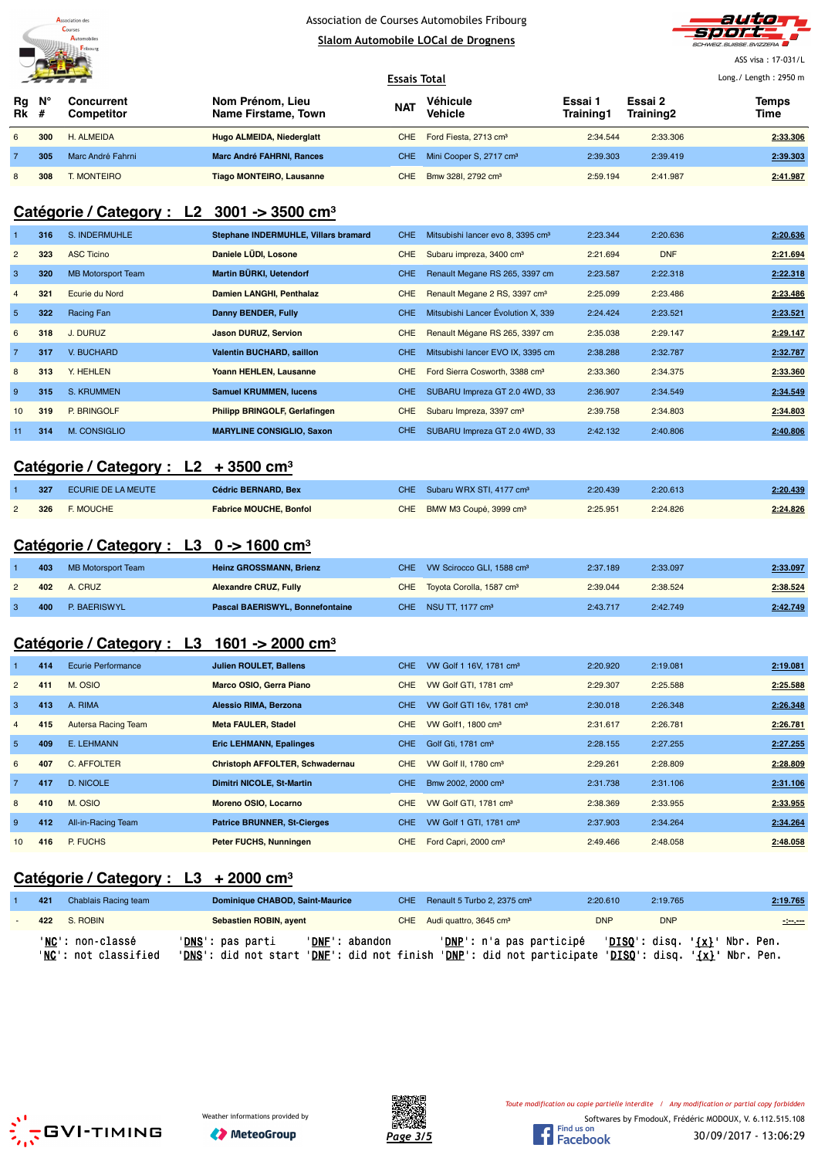

# Association de Courses Automobiles Fribourg





ASS visa : 17-031/L  $L_{\text{min}}$  : 2950  $\mu$ 

|                   | <u> De Braziliano de Braziliano de Braziliano de Braziliano de Braziliano de Braziliano de Braziliano de Braziliano de Braziliano de Braziliano de Braziliano de Braziliano de Braziliano de Braziliano de Braziliano de Brazili</u> |                          |                                         |            | <b>Essais Total</b>                     | Long./ Length: 2950 m |                      |               |
|-------------------|--------------------------------------------------------------------------------------------------------------------------------------------------------------------------------------------------------------------------------------|--------------------------|-----------------------------------------|------------|-----------------------------------------|-----------------------|----------------------|---------------|
| Rq<br><b>Rk</b> # | N°                                                                                                                                                                                                                                   | Concurrent<br>Competitor | Nom Prénom, Lieu<br>Name Firstame, Town | <b>NAT</b> | Véhicule<br>Vehicle                     | Essai 1<br>Training1  | Essai 2<br>Training2 | Temps<br>Time |
| 6                 | 300                                                                                                                                                                                                                                  | H. ALMEIDA               | Hugo ALMEIDA, Niederglatt               |            | CHE Ford Fiesta, 2713 cm <sup>3</sup>   | 2:34.544              | 2:33.306             | 2:33.306      |
|                   | 305                                                                                                                                                                                                                                  | Marc André Fahrni        | <b>Marc André FAHRNI, Rances</b>        |            | CHE Mini Cooper S, 2717 cm <sup>3</sup> | 2:39.303              | 2:39.419             | 2:39.303      |
| 8                 | 308                                                                                                                                                                                                                                  | <b>MONTEIRO</b>          | <b>Tiago MONTEIRO, Lausanne</b>         | CHE        | Bmw 3281, 2792 cm <sup>3</sup>          | 2:59.194              | 2:41.987             | 2:41.987      |

### **Catégorie / Category : L2 3001 -> 3500 cm³**

|                | 316 | S. INDERMUHLE             | Stephane INDERMUHLE, Villars bramard | <b>CHE</b> | Mitsubishi lancer evo 8, 3395 cm <sup>3</sup> | 2:23.344 | 2:20.636   | 2:20.636 |
|----------------|-----|---------------------------|--------------------------------------|------------|-----------------------------------------------|----------|------------|----------|
| $\overline{2}$ | 323 | <b>ASC Ticino</b>         | Daniele LÜDI, Losone                 | CHE        | Subaru impreza, 3400 cm <sup>3</sup>          | 2:21.694 | <b>DNF</b> | 2:21.694 |
| 3              | 320 | <b>MB Motorsport Team</b> | Martin BÜRKI, Uetendorf              | <b>CHE</b> | Renault Megane RS 265, 3397 cm                | 2:23.587 | 2:22.318   | 2:22.318 |
| $\overline{4}$ | 321 | Ecurie du Nord            | Damien LANGHI, Penthalaz             | CHE        | Renault Megane 2 RS, 3397 cm <sup>3</sup>     | 2:25.099 | 2:23.486   | 2:23.486 |
| 5              | 322 | Racing Fan                | Danny BENDER, Fully                  | CHE.       | Mitsubishi Lancer Évolution X, 339            | 2:24.424 | 2:23.521   | 2:23.521 |
| 6              | 318 | J. DURUZ                  | <b>Jason DURUZ, Servion</b>          | CHE        | Renault Mégane RS 265, 3397 cm                | 2:35.038 | 2:29.147   | 2:29.147 |
| $\overline{7}$ | 317 | V. BUCHARD                | <b>Valentin BUCHARD, saillon</b>     | <b>CHE</b> | Mitsubishi lancer EVO IX, 3395 cm             | 2:38.288 | 2:32.787   | 2:32.787 |
| 8              | 313 | Y. HEHLEN                 | Yoann HEHLEN, Lausanne               | <b>CHE</b> | Ford Sierra Cosworth, 3388 cm <sup>3</sup>    | 2:33.360 | 2:34.375   | 2:33.360 |
| 9              | 315 | S. KRUMMEN                | <b>Samuel KRUMMEN, lucens</b>        | CHE.       | SUBARU Impreza GT 2.0 4WD, 33                 | 2:36.907 | 2:34.549   | 2:34.549 |
| 10             | 319 | P. BRINGOLF               | <b>Philipp BRINGOLF, Gerlafingen</b> | CHE        | Subaru Impreza, 3397 cm <sup>3</sup>          | 2:39.758 | 2:34.803   | 2:34.803 |
| 11             | 314 | M. CONSIGLIO              | <b>MARYLINE CONSIGLIO, Saxon</b>     | <b>CHE</b> | SUBARU Impreza GT 2.0 4WD, 33                 | 2:42.132 | 2:40.806   | 2:40.806 |

#### **Catégorie / Category : L2 + 3500 cm³**

| 327 | ECURIE DE LA MEUTE | <b>Cédric BERNARD, Bex</b>    | CHE Subaru WRX STI, 4177 cm <sup>3</sup> | 2:20.439 | 2:20.613 | 2:20.439 |
|-----|--------------------|-------------------------------|------------------------------------------|----------|----------|----------|
|     | 326 F. MOUCHE      | <b>Fabrice MOUCHE, Bonfol</b> | CHE BMW M3 Coupé, 3999 cm <sup>3</sup>   | 2:25.951 | 2:24.826 | 2:24.826 |

#### **Catégorie / Category : L3 0 -> 1600 cm³**

| 403 | MB Motorsport Team | <b>Heinz GROSSMANN, Brienz</b>         | CHE VW Scirocco GLI, 1588 cm <sup>3</sup> | 2:37.189 | 2:33.097 | 2:33.097 |
|-----|--------------------|----------------------------------------|-------------------------------------------|----------|----------|----------|
|     | <b>402</b> A. CRUZ | <b>Alexandre CRUZ, Fully</b>           | CHE Toyota Corolla, 1587 cm <sup>3</sup>  | 2:39.044 | 2:38.524 | 2:38.524 |
| 400 | P. BAERISWYL       | <b>Pascal BAERISWYL, Bonnefontaine</b> | CHE NSU TT. 1177 cm <sup>3</sup>          | 2:43.717 | 2:42.749 | 2:42.749 |

# **Catégorie / Category : L3 1601 -> 2000 cm³**

|                | 414 | <b>Ecurie Performance</b> | Julien ROULET, Ballens             | CHE.       | VW Golf 1 16V, 1781 cm <sup>3</sup>   | 2:20.920 | 2:19.081 | 2:19.081 |
|----------------|-----|---------------------------|------------------------------------|------------|---------------------------------------|----------|----------|----------|
| $\overline{2}$ | 411 | M. OSIO                   | Marco OSIO, Gerra Piano            | <b>CHE</b> | VW Golf GTI, 1781 cm <sup>3</sup>     | 2:29.307 | 2:25.588 | 2:25.588 |
| 3              | 413 | A. RIMA                   | Alessio RIMA, Berzona              | CHE.       | VW Golf GTI 16v, 1781 cm <sup>3</sup> | 2:30.018 | 2:26.348 | 2:26.348 |
| $\overline{4}$ | 415 | Autersa Racing Team       | <b>Meta FAULER, Stadel</b>         | CHE.       | VW Golf1, 1800 cm <sup>3</sup>        | 2:31.617 | 2:26.781 | 2:26.781 |
| 5 <sub>5</sub> | 409 | E. LEHMANN                | <b>Eric LEHMANN, Epalinges</b>     | CHE.       | Golf Gti, 1781 cm <sup>3</sup>        | 2:28.155 | 2:27.255 | 2:27.255 |
| 6              | 407 | C. AFFOLTER               | Christoph AFFOLTER, Schwadernau    | CHE.       | VW Golf II, 1780 cm <sup>3</sup>      | 2:29.261 | 2:28.809 | 2:28.809 |
| $\overline{7}$ | 417 | D. NICOLE                 | Dimitri NICOLE, St-Martin          | CHE.       | Bmw 2002, 2000 cm <sup>3</sup>        | 2:31.738 | 2:31.106 | 2:31.106 |
| 8              | 410 | M. OSIO                   | Moreno OSIO, Locarno               | CHE.       | VW Golf GTI, 1781 cm <sup>3</sup>     | 2:38.369 | 2:33.955 | 2:33.955 |
| 9              | 412 | All-in-Racing Team        | <b>Patrice BRUNNER, St-Cierges</b> | CHE.       | VW Golf 1 GTI, 1781 cm <sup>3</sup>   | 2:37.903 | 2:34.264 | 2:34.264 |
| 10             | 416 | P. FUCHS                  | Peter FUCHS, Nunningen             | CHE.       | Ford Capri, 2000 cm <sup>3</sup>      | 2:49.466 | 2:48.058 | 2:48.058 |

### **Catégorie / Category : L3 + 2000 cm³**

| 421 | Chablais Racing team                             | Dominique CHABOD, Saint-Maurice                                         |                | CHE Renault 5 Turbo 2, 2375 cm <sup>3</sup>                                   | 2:20.610   | 2:19.765   | 2:19.765                                                           |
|-----|--------------------------------------------------|-------------------------------------------------------------------------|----------------|-------------------------------------------------------------------------------|------------|------------|--------------------------------------------------------------------|
|     | 422 S. ROBIN                                     | Sebastien ROBIN, ayent                                                  |                | CHE Audi quattro, 3645 cm <sup>3</sup>                                        | <b>DNP</b> | <b>DNP</b> | <b>Service</b>                                                     |
|     | ' <b>NC':</b> non-classé<br>'NC': not classified | ' <b>DNS</b> ': pas parti<br>'DNS': did not start 'DNF': did not finish | 'DNF': abandon | ' <u>DNP</u> ': n'a pas participé<br>'DNP': did not participate 'DISQ': disq. |            |            | ' <u>DISO</u> ': disq. ' <u>{x}</u> ' Nbr. Pen.<br>'{x}' Nbr. Pen. |





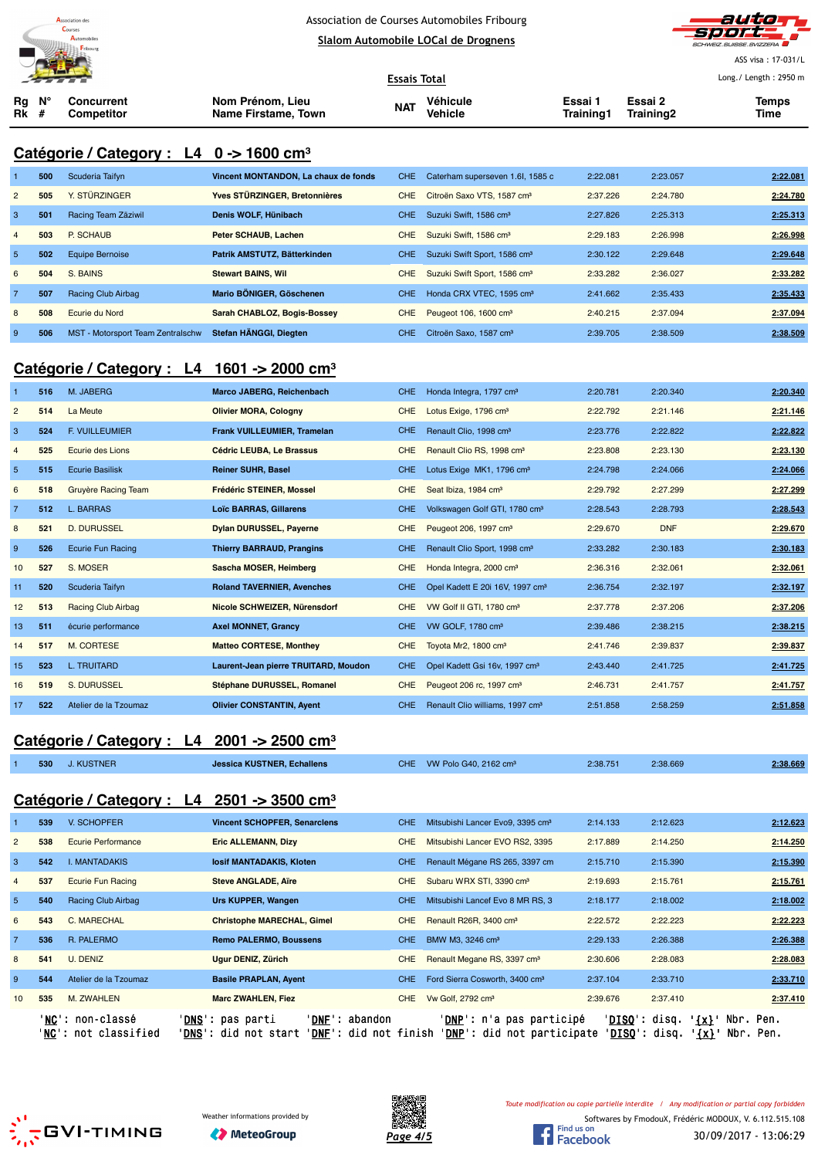



ASS visa : 17-031/L Long./ Length : 2950 m

| <u>Alexander and the second property of the second property of the second property of the second property of the second property of the second property of the second property of the second property of the second property of </u> |  |                          | <b>Essais Total</b>                     | Long./ Length: 2950 m |                     |                      |                      |               |
|--------------------------------------------------------------------------------------------------------------------------------------------------------------------------------------------------------------------------------------|--|--------------------------|-----------------------------------------|-----------------------|---------------------|----------------------|----------------------|---------------|
| $Ra$ $N^{\circ}$<br>$Rk \#$                                                                                                                                                                                                          |  | Concurrent<br>Competitor | Nom Prénom, Lieu<br>Name Firstame, Town | <b>NAT</b>            | Véhicule<br>Vehicle | Essai 1<br>Training1 | Essai 2<br>Training2 | Temps<br>Time |

### **Catégorie / Category : L4 0 -> 1600 cm³**

|                | 500 | Scuderia Taifvn                   | Vincent MONTANDON. La chaux de fonds | CHE.       | Caterham superseven 1.6l, 1585 c         | 2:22.081 | 2:23.057 | 2:22.081 |
|----------------|-----|-----------------------------------|--------------------------------------|------------|------------------------------------------|----------|----------|----------|
| $\overline{2}$ | 505 | Y. STÜRZINGER                     | Yves STÜRZINGER, Bretonnières        | <b>CHE</b> | Citroën Saxo VTS, 1587 cm <sup>3</sup>   | 2:37.226 | 2:24.780 | 2:24.780 |
| 3              | 501 | Racing Team Zäziwil               | Denis WOLF, Hünibach                 | CHE.       | Suzuki Swift, 1586 cm <sup>3</sup>       | 2:27.826 | 2:25.313 | 2:25.313 |
| $\overline{4}$ | 503 | P. SCHAUB                         | Peter SCHAUB, Lachen                 | <b>CHE</b> | Suzuki Swift, 1586 cm <sup>3</sup>       | 2:29.183 | 2:26.998 | 2:26.998 |
| 5              | 502 | Equipe Bernoise                   | Patrik AMSTUTZ, Bätterkinden         | CHE.       | Suzuki Swift Sport, 1586 cm <sup>3</sup> | 2:30.122 | 2:29.648 | 2:29.648 |
| 6              | 504 | S. BAINS                          | <b>Stewart BAINS, Wil</b>            | <b>CHE</b> | Suzuki Swift Sport, 1586 cm <sup>3</sup> | 2:33.282 | 2:36.027 | 2:33.282 |
| $\overline{7}$ | 507 | Racing Club Airbag                | Mario BÖNIGER, Göschenen             | CHE.       | Honda CRX VTEC, 1595 cm <sup>3</sup>     | 2:41.662 | 2:35.433 | 2:35.433 |
| 8              | 508 | Ecurie du Nord                    | Sarah CHABLOZ, Bogis-Bossey          | <b>CHE</b> | Peugeot 106, 1600 cm <sup>3</sup>        | 2:40.215 | 2:37.094 | 2:37.094 |
| 9              | 506 | MST - Motorsport Team Zentralschw | Stefan HÄNGGI, Diegten               | CHE.       | Citroën Saxo, 1587 cm <sup>3</sup>       | 2:39.705 | 2:38.509 | 2:38.509 |

### **Catégorie / Category : L4 1601 -> 2000 cm³**

|                 | 516 | M. JABERG                 | Marco JABERG, Reichenbach            | <b>CHE</b> | Honda Integra, 1797 cm <sup>3</sup>         | 2:20.781 | 2:20.340   | 2:20.340 |
|-----------------|-----|---------------------------|--------------------------------------|------------|---------------------------------------------|----------|------------|----------|
| $\overline{2}$  | 514 | La Meute                  | <b>Olivier MORA, Cologny</b>         | <b>CHE</b> | Lotus Exige, 1796 cm <sup>3</sup>           | 2:22.792 | 2:21.146   | 2:21.146 |
| 3               | 524 | <b>F. VUILLEUMIER</b>     | Frank VUILLEUMIER, Tramelan          | <b>CHE</b> | Renault Clio, 1998 cm <sup>3</sup>          | 2:23.776 | 2:22.822   | 2:22.822 |
| $\overline{4}$  | 525 | <b>Ecurie des Lions</b>   | Cédric LEUBA, Le Brassus             | <b>CHE</b> | Renault Clio RS, 1998 cm <sup>3</sup>       | 2:23.808 | 2:23.130   | 2:23.130 |
| $5\phantom{.0}$ | 515 | <b>Ecurie Basilisk</b>    | <b>Reiner SUHR, Basel</b>            | <b>CHE</b> | Lotus Exige MK1, 1796 cm <sup>3</sup>       | 2:24.798 | 2:24.066   | 2:24.066 |
| 6               | 518 | Gruyère Racing Team       | <b>Frédéric STEINER, Mossel</b>      | <b>CHE</b> | Seat Ibiza, 1984 cm <sup>3</sup>            | 2:29.792 | 2:27.299   | 2:27.299 |
| $\overline{7}$  | 512 | <b>L. BARRAS</b>          | <b>Loïc BARRAS, Gillarens</b>        | <b>CHE</b> | Volkswagen Golf GTI, 1780 cm <sup>3</sup>   | 2:28.543 | 2:28.793   | 2:28.543 |
| 8               | 521 | <b>D. DURUSSEL</b>        | <b>Dylan DURUSSEL, Payerne</b>       | <b>CHE</b> | Peugeot 206, 1997 cm <sup>3</sup>           | 2:29.670 | <b>DNF</b> | 2:29.670 |
| 9               | 526 | <b>Ecurie Fun Racing</b>  | <b>Thierry BARRAUD, Prangins</b>     | <b>CHE</b> | Renault Clio Sport, 1998 cm <sup>3</sup>    | 2:33.282 | 2:30.183   | 2:30.183 |
| 10              | 527 | S. MOSER                  | Sascha MOSER, Heimberg               | <b>CHE</b> | Honda Integra, 2000 cm <sup>3</sup>         | 2:36.316 | 2:32.061   | 2:32.061 |
| 11              | 520 | Scuderia Taifyn           | <b>Roland TAVERNIER, Avenches</b>    | <b>CHE</b> | Opel Kadett E 20i 16V, 1997 cm <sup>3</sup> | 2:36.754 | 2:32.197   | 2:32.197 |
| 12              | 513 | <b>Racing Club Airbag</b> | Nicole SCHWEIZER, Nürensdorf         | <b>CHE</b> | VW Golf II GTI, 1780 cm <sup>3</sup>        | 2:37.778 | 2:37.206   | 2:37.206 |
| 13              | 511 | écurie performance        | <b>Axel MONNET, Grancy</b>           | <b>CHE</b> | VW GOLF, 1780 cm <sup>3</sup>               | 2:39.486 | 2:38.215   | 2:38.215 |
| 14              | 517 | M. CORTESE                | <b>Matteo CORTESE, Monthey</b>       | <b>CHE</b> | Toyota Mr2, 1800 cm <sup>3</sup>            | 2:41.746 | 2:39.837   | 2:39.837 |
| 15              | 523 | <b>L. TRUITARD</b>        | Laurent-Jean pierre TRUITARD, Moudon | <b>CHE</b> | Opel Kadett Gsi 16v, 1997 cm <sup>3</sup>   | 2:43.440 | 2:41.725   | 2:41.725 |
| 16              | 519 | S. DURUSSEL               | Stéphane DURUSSEL, Romanel           | <b>CHE</b> | Peugeot 206 rc, 1997 cm <sup>3</sup>        | 2:46.731 | 2:41.757   | 2:41.757 |
| 17              | 522 | Atelier de la Tzoumaz     | <b>Olivier CONSTANTIN, Ayent</b>     | <b>CHE</b> | Renault Clio williams, 1997 cm <sup>3</sup> | 2:51.858 | 2:58.259   | 2:51.858 |

# **Catégorie / Category : L4 2001 -> 2500 cm³**

|                 |     | Valuguriu / Valugury .<br>--                             | $2001722000$ VIII                   |            |                                              |          |          |          |
|-----------------|-----|----------------------------------------------------------|-------------------------------------|------------|----------------------------------------------|----------|----------|----------|
|                 | 530 | <b>J. KUSTNER</b>                                        | <b>Jessica KUSTNER, Echallens</b>   | CHE.       | VW Polo G40, 2162 cm <sup>3</sup>            | 2:38.751 | 2:38.669 | 2:38.669 |
|                 |     | Catégorie / Category : $L4$ 2501 -> 3500 cm <sup>3</sup> |                                     |            |                                              |          |          |          |
|                 | 539 | V. SCHOPFER                                              | <b>Vincent SCHOPFER, Senarclens</b> | CHE.       | Mitsubishi Lancer Evo9, 3395 cm <sup>3</sup> | 2:14.133 | 2:12.623 | 2:12.623 |
| $\overline{2}$  | 538 | <b>Ecurie Performance</b>                                | <b>Eric ALLEMANN, Dizy</b>          | <b>CHE</b> | Mitsubishi Lancer EVO RS2, 3395              | 2:17.889 | 2:14.250 | 2:14.250 |
| 3               | 542 | <b>I. MANTADAKIS</b>                                     | losif MANTADAKIS, Kloten            | CHE.       | Renault Mégane RS 265, 3397 cm               | 2:15.710 | 2:15.390 | 2:15.390 |
| $\overline{4}$  | 537 | <b>Ecurie Fun Racing</b>                                 | <b>Steve ANGLADE, Aire</b>          | <b>CHE</b> | Subaru WRX STI, 3390 cm <sup>3</sup>         | 2:19.693 | 2:15.761 | 2:15.761 |
| 5               | 540 | Racing Club Airbag                                       | Urs KUPPER, Wangen                  | <b>CHE</b> | Mitsubishi Lancef Evo 8 MR RS, 3             | 2:18.177 | 2:18.002 | 2:18.002 |
| 6               | 543 | C. MARECHAL                                              | <b>Christophe MARECHAL, Gimel</b>   | <b>CHE</b> | Renault R26R, 3400 cm <sup>3</sup>           | 2:22.572 | 2:22.223 | 2:22.223 |
| $\overline{7}$  | 536 | R. PALERMO                                               | <b>Remo PALERMO, Boussens</b>       | CHE.       | BMW M3, 3246 cm <sup>3</sup>                 | 2:29.133 | 2:26.388 | 2:26.388 |
| 8               | 541 | U. DENIZ                                                 | Ugur DENIZ, Zürich                  | <b>CHE</b> | Renault Megane RS, 3397 cm <sup>3</sup>      | 2:30.606 | 2:28.083 | 2:28.083 |
| 9               | 544 | Atelier de la Tzoumaz                                    | <b>Basile PRAPLAN, Ayent</b>        | <b>CHE</b> | Ford Sierra Cosworth, 3400 cm <sup>3</sup>   | 2:37.104 | 2:33.710 | 2:33.710 |
| 10 <sup>1</sup> | 535 | M. ZWAHLEN                                               | <b>Marc ZWAHLEN, Fiez</b>           | <b>CHE</b> | Vw Golf, 2792 cm <sup>3</sup>                | 2:39.676 | 2:37.410 | 2:37.410 |

 $\sum_{n=0}^{N}$ GVI-TIMING







Softwares by FmodouX, Frédéric MODOUX, V. 6.112.515.108